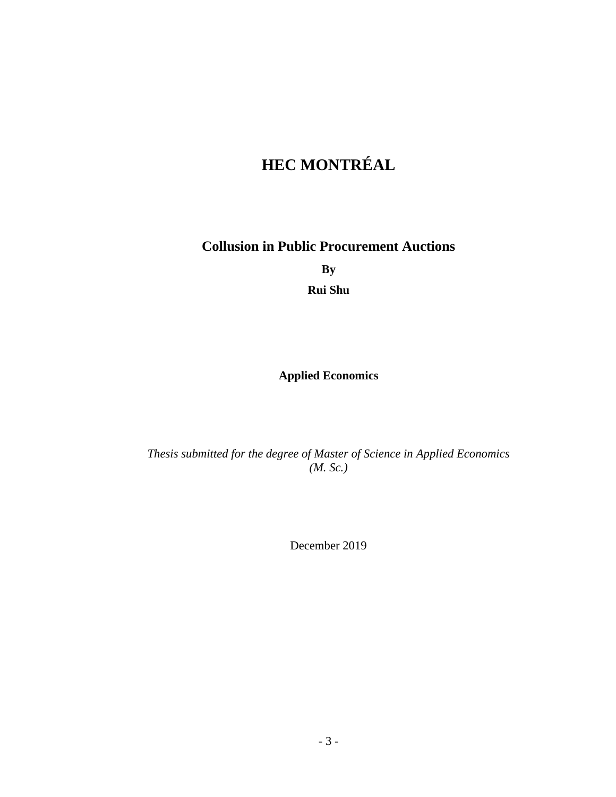# **HEC MONTRÉAL**

**Collusion in Public Procurement Auctions**

**By**

**Rui Shu**

# **Applied Economics**

*Thesis submitted for the degree of Master of Science in Applied Economics (M. Sc.)*

December 2019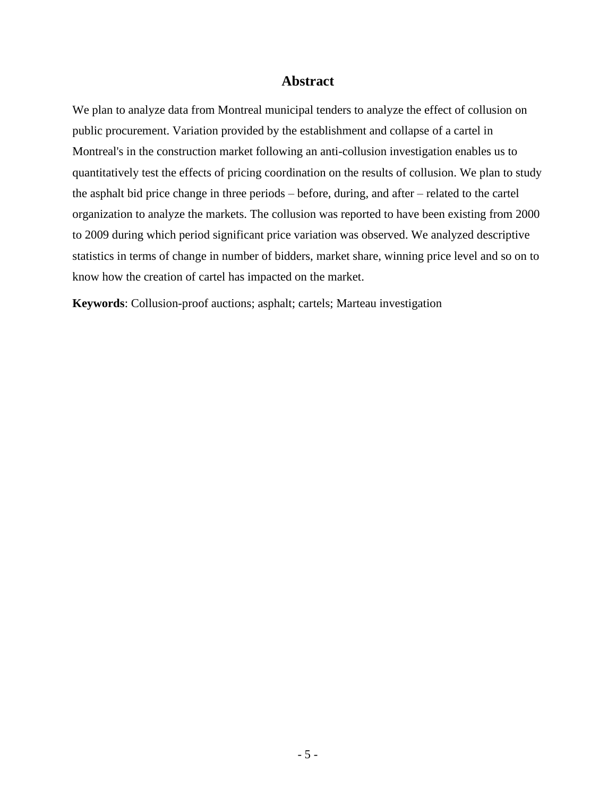#### **Abstract**

<span id="page-4-0"></span>We plan to analyze data from Montreal municipal tenders to analyze the effect of collusion on public procurement. Variation provided by the establishment and collapse of a cartel in Montreal's in the construction market following an anti-collusion investigation enables us to quantitatively test the effects of pricing coordination on the results of collusion. We plan to study the asphalt bid price change in three periods – before, during, and after – related to the cartel organization to analyze the markets. The collusion was reported to have been existing from 2000 to 2009 during which period significant price variation was observed. We analyzed descriptive statistics in terms of change in number of bidders, market share, winning price level and so on to know how the creation of cartel has impacted on the market.

**Keywords**: Collusion-proof auctions; asphalt; cartels; Marteau investigation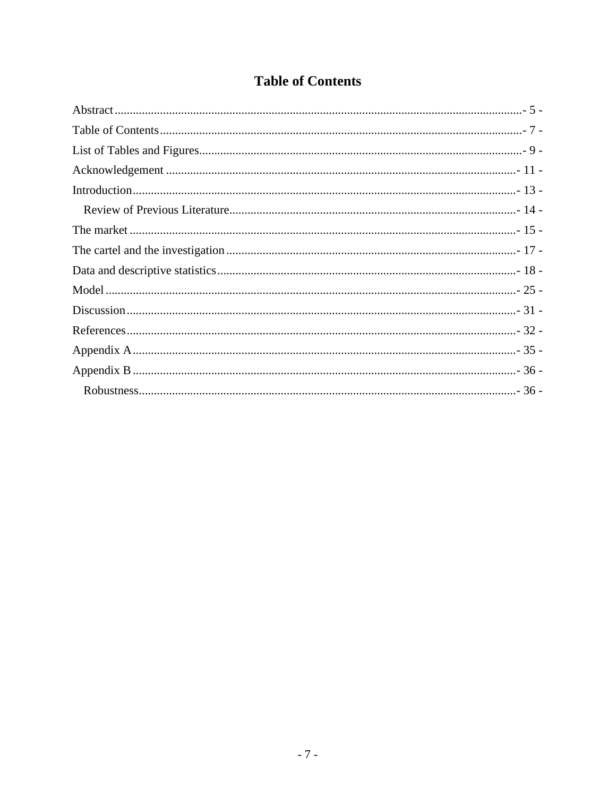# **Table of Contents**

<span id="page-6-0"></span>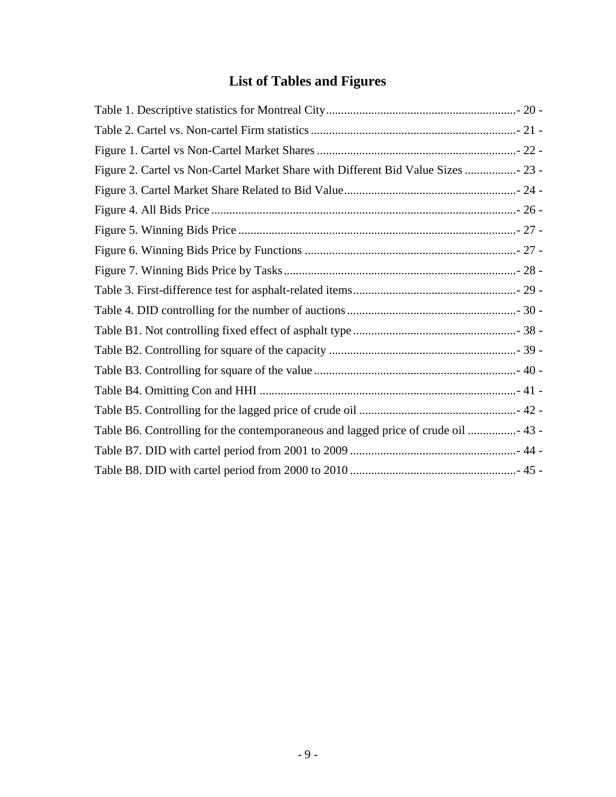# **List of Tables and Figures**

<span id="page-8-0"></span>

| Figure 2. Cartel vs Non-Cartel Market Share with Different Bid Value Sizes  23 -  |  |
|-----------------------------------------------------------------------------------|--|
|                                                                                   |  |
|                                                                                   |  |
|                                                                                   |  |
|                                                                                   |  |
|                                                                                   |  |
|                                                                                   |  |
|                                                                                   |  |
|                                                                                   |  |
|                                                                                   |  |
|                                                                                   |  |
|                                                                                   |  |
|                                                                                   |  |
| Table B6. Controlling for the contemporaneous and lagged price of crude oil  43 - |  |
|                                                                                   |  |
|                                                                                   |  |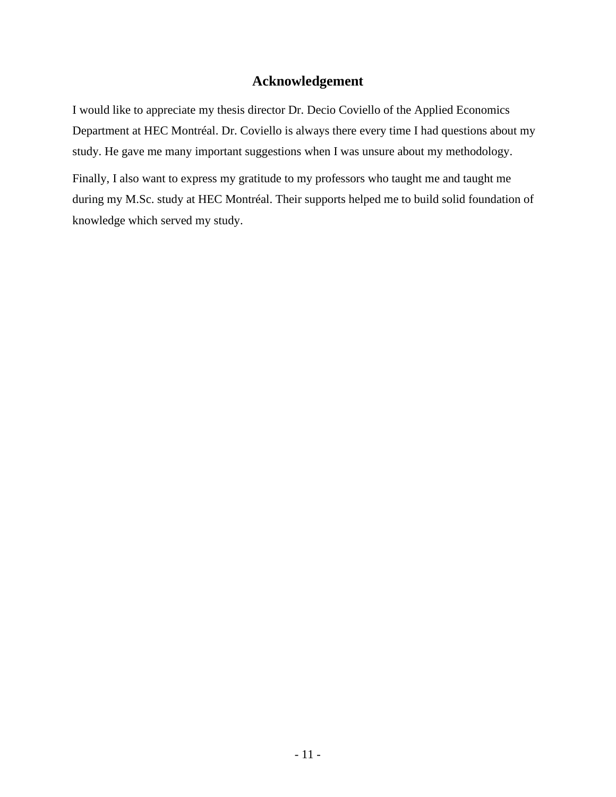#### **Acknowledgement**

<span id="page-10-0"></span>I would like to appreciate my thesis director Dr. Decio Coviello of the Applied Economics Department at HEC Montréal. Dr. Coviello is always there every time I had questions about my study. He gave me many important suggestions when I was unsure about my methodology.

Finally, I also want to express my gratitude to my professors who taught me and taught me during my M.Sc. study at HEC Montréal. Their supports helped me to build solid foundation of knowledge which served my study.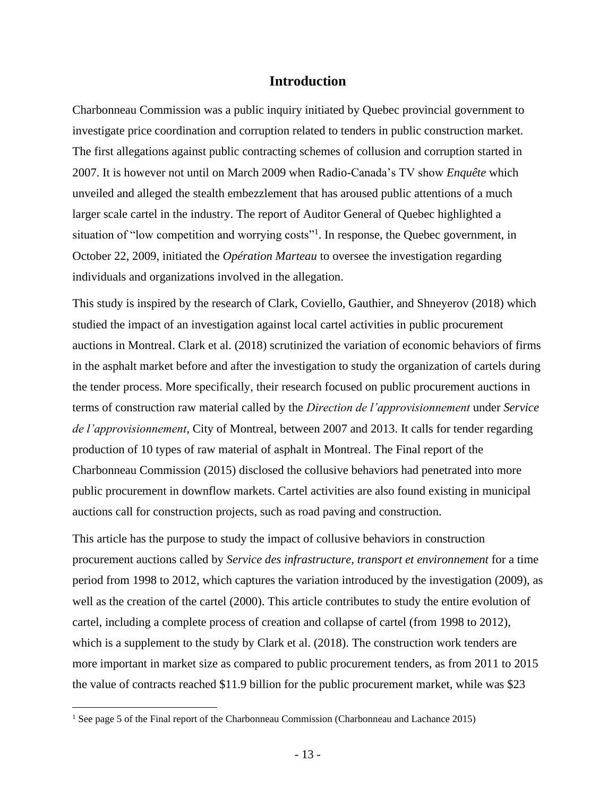#### **Introduction**

<span id="page-12-0"></span>Charbonneau Commission was a public inquiry initiated by Quebec provincial government to investigate price coordination and corruption related to tenders in public construction market. The first allegations against public contracting schemes of collusion and corruption started in 2007. It is however not until on March 2009 when Radio-Canada's TV show *Enquête* which unveiled and alleged the stealth embezzlement that has aroused public attentions of a much larger scale cartel in the industry. The report of Auditor General of Quebec highlighted a situation of "low competition and worrying costs"<sup>1</sup>. In response, the Quebec government, in October 22, 2009, initiated the *Opération Marteau* to oversee the investigation regarding individuals and organizations involved in the allegation.

This study is inspired by the research of Clark, Coviello, Gauthier, and Shneyerov (2018) which studied the impact of an investigation against local cartel activities in public procurement auctions in Montreal. Clark et al. (2018) scrutinized the variation of economic behaviors of firms in the asphalt market before and after the investigation to study the organization of cartels during the tender process. More specifically, their research focused on public procurement auctions in terms of construction raw material called by the *Direction de l'approvisionnement* under *Service de l'approvisionnement*, City of Montreal, between 2007 and 2013. It calls for tender regarding production of 10 types of raw material of asphalt in Montreal. The Final report of the Charbonneau Commission (2015) disclosed the collusive behaviors had penetrated into more public procurement in downflow markets. Cartel activities are also found existing in municipal auctions call for construction projects, such as road paving and construction.

This article has the purpose to study the impact of collusive behaviors in construction procurement auctions called by *Service des infrastructure, transport et environnement* for a time period from 1998 to 2012, which captures the variation introduced by the investigation (2009), as well as the creation of the cartel (2000). This article contributes to study the entire evolution of cartel, including a complete process of creation and collapse of cartel (from 1998 to 2012), which is a supplement to the study by Clark et al. (2018). The construction work tenders are more important in market size as compared to public procurement tenders, as from 2011 to 2015 the value of contracts reached \$11.9 billion for the public procurement market, while was \$23

<sup>1</sup> See page 5 of the Final report of the Charbonneau Commission (Charbonneau and Lachance 2015)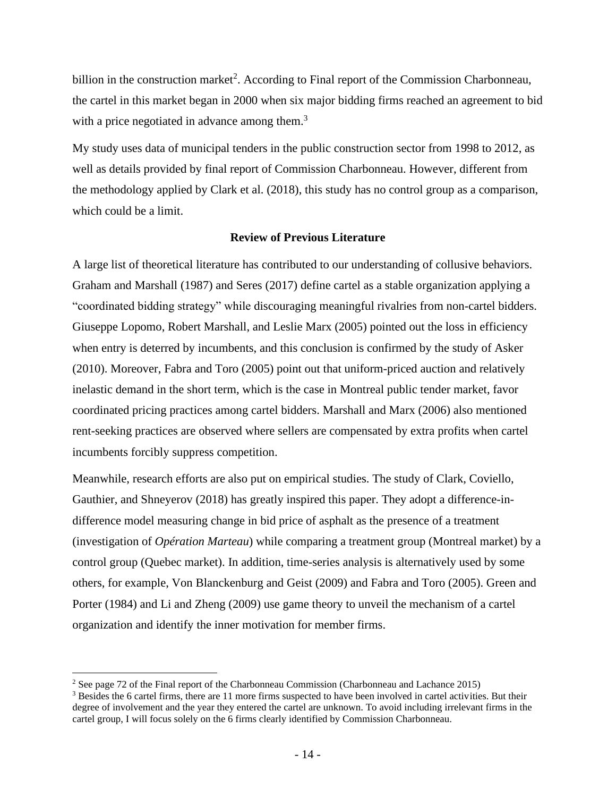billion in the construction market<sup>2</sup>. According to Final report of the Commission Charbonneau, the cartel in this market began in 2000 when six major bidding firms reached an agreement to bid with a price negotiated in advance among them.<sup>3</sup>

My study uses data of municipal tenders in the public construction sector from 1998 to 2012, as well as details provided by final report of Commission Charbonneau. However, different from the methodology applied by Clark et al. (2018), this study has no control group as a comparison, which could be a limit.

#### **Review of Previous Literature**

<span id="page-13-0"></span>A large list of theoretical literature has contributed to our understanding of collusive behaviors. Graham and Marshall (1987) and Seres (2017) define cartel as a stable organization applying a "coordinated bidding strategy" while discouraging meaningful rivalries from non-cartel bidders. Giuseppe Lopomo, Robert Marshall, and Leslie Marx (2005) pointed out the loss in efficiency when entry is deterred by incumbents, and this conclusion is confirmed by the study of Asker (2010). Moreover, Fabra and Toro (2005) point out that uniform-priced auction and relatively inelastic demand in the short term, which is the case in Montreal public tender market, favor coordinated pricing practices among cartel bidders. Marshall and Marx (2006) also mentioned rent-seeking practices are observed where sellers are compensated by extra profits when cartel incumbents forcibly suppress competition.

Meanwhile, research efforts are also put on empirical studies. The study of Clark, Coviello, Gauthier, and Shneyerov (2018) has greatly inspired this paper. They adopt a difference-indifference model measuring change in bid price of asphalt as the presence of a treatment (investigation of *Opération Marteau*) while comparing a treatment group (Montreal market) by a control group (Quebec market). In addition, time-series analysis is alternatively used by some others, for example, Von Blanckenburg and Geist (2009) and Fabra and Toro (2005). Green and Porter (1984) and Li and Zheng (2009) use game theory to unveil the mechanism of a cartel organization and identify the inner motivation for member firms.

<sup>&</sup>lt;sup>2</sup> See page 72 of the Final report of the Charbonneau Commission (Charbonneau and Lachance 2015)

<sup>3</sup> Besides the 6 cartel firms, there are 11 more firms suspected to have been involved in cartel activities. But their degree of involvement and the year they entered the cartel are unknown. To avoid including irrelevant firms in the cartel group, I will focus solely on the 6 firms clearly identified by Commission Charbonneau.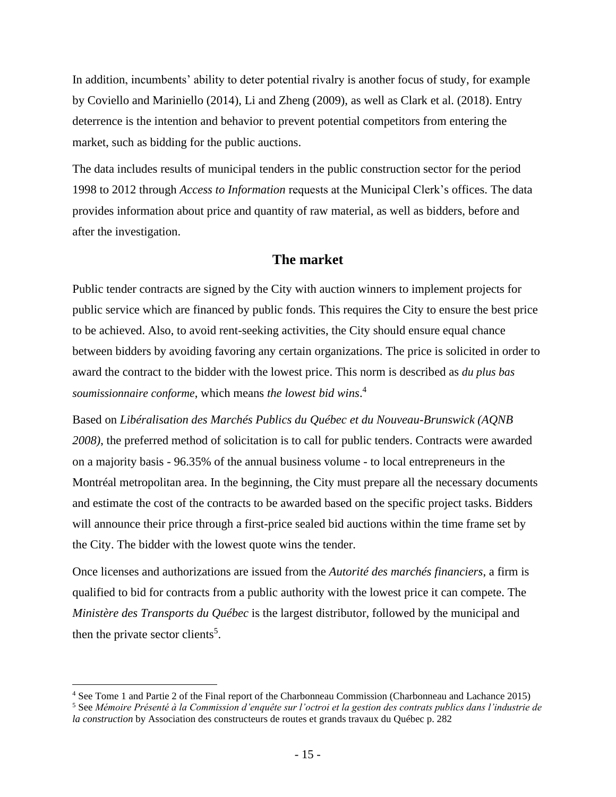In addition, incumbents' ability to deter potential rivalry is another focus of study, for example by Coviello and Mariniello (2014), Li and Zheng (2009), as well as Clark et al. (2018). Entry deterrence is the intention and behavior to prevent potential competitors from entering the market, such as bidding for the public auctions.

The data includes results of municipal tenders in the public construction sector for the period 1998 to 2012 through *Access to Information* requests at the Municipal Clerk's offices. The data provides information about price and quantity of raw material, as well as bidders, before and after the investigation.

#### **The market**

<span id="page-14-0"></span>Public tender contracts are signed by the City with auction winners to implement projects for public service which are financed by public fonds. This requires the City to ensure the best price to be achieved. Also, to avoid rent-seeking activities, the City should ensure equal chance between bidders by avoiding favoring any certain organizations. The price is solicited in order to award the contract to the bidder with the lowest price. This norm is described as *du plus bas soumissionnaire conforme*, which means *the lowest bid wins*. 4

Based on *Libéralisation des Marchés Publics du Québec et du Nouveau-Brunswick (AQNB 2008)*, the preferred method of solicitation is to call for public tenders. Contracts were awarded on a majority basis - 96.35% of the annual business volume - to local entrepreneurs in the Montréal metropolitan area. In the beginning, the City must prepare all the necessary documents and estimate the cost of the contracts to be awarded based on the specific project tasks. Bidders will announce their price through a first-price sealed bid auctions within the time frame set by the City. The bidder with the lowest quote wins the tender.

Once licenses and authorizations are issued from the *Autorité des marchés financiers*, a firm is qualified to bid for contracts from a public authority with the lowest price it can compete. The *Ministère des Transports du Québec* is the largest distributor, followed by the municipal and then the private sector clients<sup>5</sup>.

<sup>4</sup> See Tome 1 and Partie 2 of the Final report of the Charbonneau Commission (Charbonneau and Lachance 2015)

<sup>5</sup> See *Mémoire Présenté à la Commission d'enquête sur l'octroi et la gestion des contrats publics dans l'industrie de la construction* by Association des constructeurs de routes et grands travaux du Québec p. 282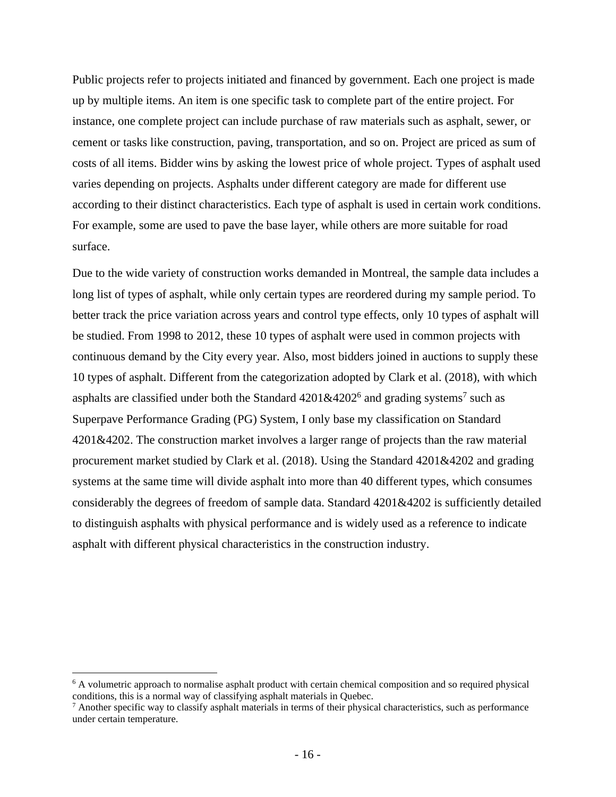Public projects refer to projects initiated and financed by government. Each one project is made up by multiple items. An item is one specific task to complete part of the entire project. For instance, one complete project can include purchase of raw materials such as asphalt, sewer, or cement or tasks like construction, paving, transportation, and so on. Project are priced as sum of costs of all items. Bidder wins by asking the lowest price of whole project. Types of asphalt used varies depending on projects. Asphalts under different category are made for different use according to their distinct characteristics. Each type of asphalt is used in certain work conditions. For example, some are used to pave the base layer, while others are more suitable for road surface.

Due to the wide variety of construction works demanded in Montreal, the sample data includes a long list of types of asphalt, while only certain types are reordered during my sample period. To better track the price variation across years and control type effects, only 10 types of asphalt will be studied. From 1998 to 2012, these 10 types of asphalt were used in common projects with continuous demand by the City every year. Also, most bidders joined in auctions to supply these 10 types of asphalt. Different from the categorization adopted by Clark et al. (2018), with which asphalts are classified under both the Standard  $4201\&4202^6$  and grading systems<sup>7</sup> such as Superpave Performance Grading (PG) System, I only base my classification on Standard 4201&4202. The construction market involves a larger range of projects than the raw material procurement market studied by Clark et al. (2018). Using the Standard 4201&4202 and grading systems at the same time will divide asphalt into more than 40 different types, which consumes considerably the degrees of freedom of sample data. Standard  $4201\&4202$  is sufficiently detailed to distinguish asphalts with physical performance and is widely used as a reference to indicate asphalt with different physical characteristics in the construction industry.

 $6$  A volumetric approach to normalise asphalt product with certain chemical composition and so required physical conditions, this is a normal way of classifying asphalt materials in Quebec.

 $<sup>7</sup>$  Another specific way to classify asphalt materials in terms of their physical characteristics, such as performance</sup> under certain temperature.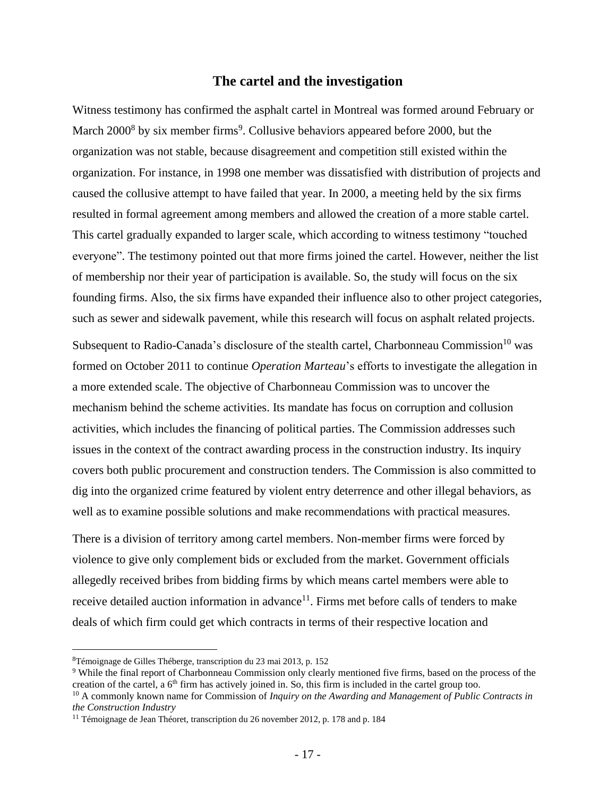#### **The cartel and the investigation**

<span id="page-16-0"></span>Witness testimony has confirmed the asphalt cartel in Montreal was formed around February or March 2000<sup>8</sup> by six member firms<sup>9</sup>. Collusive behaviors appeared before 2000, but the organization was not stable, because disagreement and competition still existed within the organization. For instance, in 1998 one member was dissatisfied with distribution of projects and caused the collusive attempt to have failed that year. In 2000, a meeting held by the six firms resulted in formal agreement among members and allowed the creation of a more stable cartel. This cartel gradually expanded to larger scale, which according to witness testimony "touched everyone". The testimony pointed out that more firms joined the cartel. However, neither the list of membership nor their year of participation is available. So, the study will focus on the six founding firms. Also, the six firms have expanded their influence also to other project categories, such as sewer and sidewalk pavement, while this research will focus on asphalt related projects.

Subsequent to Radio-Canada's disclosure of the stealth cartel, Charbonneau Commission<sup>10</sup> was formed on October 2011 to continue *Operation Marteau*'s efforts to investigate the allegation in a more extended scale. The objective of Charbonneau Commission was to uncover the mechanism behind the scheme activities. Its mandate has focus on corruption and collusion activities, which includes the financing of political parties. The Commission addresses such issues in the context of the contract awarding process in the construction industry. Its inquiry covers both public procurement and construction tenders. The Commission is also committed to dig into the organized crime featured by violent entry deterrence and other illegal behaviors, as well as to examine possible solutions and make recommendations with practical measures.

There is a division of territory among cartel members. Non-member firms were forced by violence to give only complement bids or excluded from the market. Government officials allegedly received bribes from bidding firms by which means cartel members were able to receive detailed auction information in advance<sup>11</sup>. Firms met before calls of tenders to make deals of which firm could get which contracts in terms of their respective location and

<sup>8</sup>Témoignage de Gilles Théberge, transcription du 23 mai 2013, p. 152

<sup>&</sup>lt;sup>9</sup> While the final report of Charbonneau Commission only clearly mentioned five firms, based on the process of the creation of the cartel, a  $6<sup>th</sup>$  firm has actively joined in. So, this firm is included in the cartel group too.

<sup>10</sup> A commonly known name for Commission of *Inquiry on the Awarding and Management of Public Contracts in the Construction Industry*

<sup>&</sup>lt;sup>11</sup> Témoignage de Jean Théoret, transcription du 26 november 2012, p. 178 and p. 184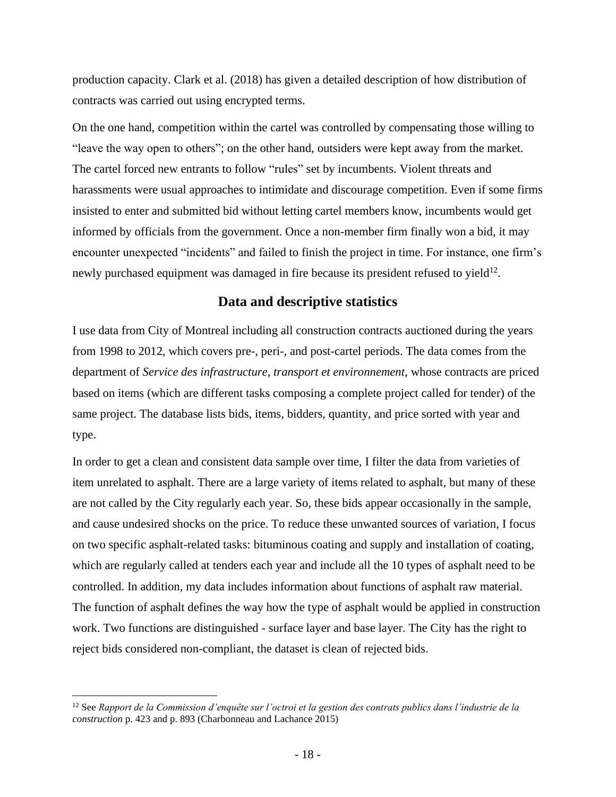production capacity. Clark et al. (2018) has given a detailed description of how distribution of contracts was carried out using encrypted terms.

On the one hand, competition within the cartel was controlled by compensating those willing to "leave the way open to others"; on the other hand, outsiders were kept away from the market. The cartel forced new entrants to follow "rules" set by incumbents. Violent threats and harassments were usual approaches to intimidate and discourage competition. Even if some firms insisted to enter and submitted bid without letting cartel members know, incumbents would get informed by officials from the government. Once a non-member firm finally won a bid, it may encounter unexpected "incidents" and failed to finish the project in time. For instance, one firm's newly purchased equipment was damaged in fire because its president refused to yield $^{12}$ .

#### **Data and descriptive statistics**

<span id="page-17-0"></span>I use data from City of Montreal including all construction contracts auctioned during the years from 1998 to 2012, which covers pre-, peri-, and post-cartel periods. The data comes from the department of *Service des infrastructure, transport et environnement*, whose contracts are priced based on items (which are different tasks composing a complete project called for tender) of the same project. The database lists bids, items, bidders, quantity, and price sorted with year and type.

In order to get a clean and consistent data sample over time, I filter the data from varieties of item unrelated to asphalt. There are a large variety of items related to asphalt, but many of these are not called by the City regularly each year. So, these bids appear occasionally in the sample, and cause undesired shocks on the price. To reduce these unwanted sources of variation, I focus on two specific asphalt-related tasks: bituminous coating and supply and installation of coating, which are regularly called at tenders each year and include all the 10 types of asphalt need to be controlled. In addition, my data includes information about functions of asphalt raw material. The function of asphalt defines the way how the type of asphalt would be applied in construction work. Two functions are distinguished - surface layer and base layer. The City has the right to reject bids considered non-compliant, the dataset is clean of rejected bids.

<sup>12</sup> See *Rapport de la Commission d'enquête sur l'octroi et la gestion des contrats publics dans l'industrie de la construction* p. 423 and p. 893 (Charbonneau and Lachance 2015)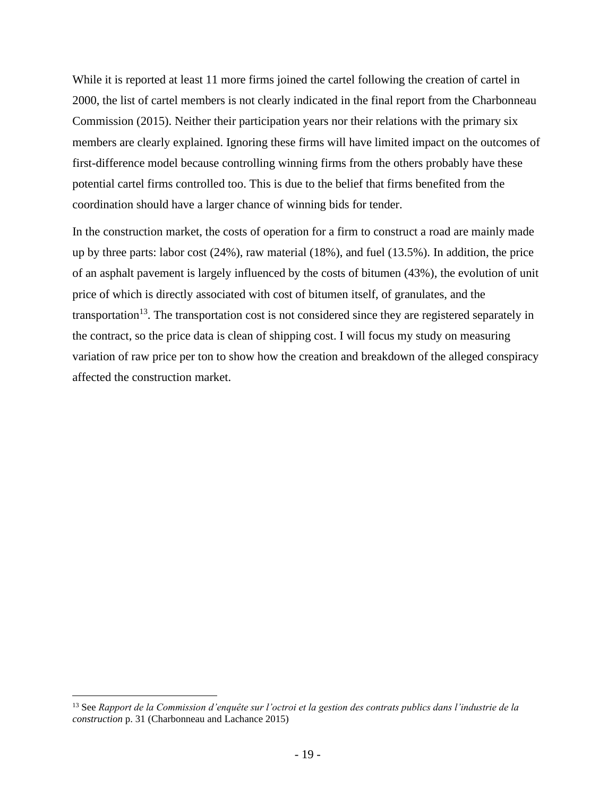While it is reported at least 11 more firms joined the cartel following the creation of cartel in 2000, the list of cartel members is not clearly indicated in the final report from the Charbonneau Commission (2015). Neither their participation years nor their relations with the primary six members are clearly explained. Ignoring these firms will have limited impact on the outcomes of first-difference model because controlling winning firms from the others probably have these potential cartel firms controlled too. This is due to the belief that firms benefited from the coordination should have a larger chance of winning bids for tender.

In the construction market, the costs of operation for a firm to construct a road are mainly made up by three parts: labor cost (24%), raw material (18%), and fuel (13.5%). In addition, the price of an asphalt pavement is largely influenced by the costs of bitumen (43%), the evolution of unit price of which is directly associated with cost of bitumen itself, of granulates, and the transportation<sup>13</sup>. The transportation cost is not considered since they are registered separately in the contract, so the price data is clean of shipping cost. I will focus my study on measuring variation of raw price per ton to show how the creation and breakdown of the alleged conspiracy affected the construction market.

<sup>13</sup> See *Rapport de la Commission d'enquête sur l'octroi et la gestion des contrats publics dans l'industrie de la construction* p. 31 (Charbonneau and Lachance 2015)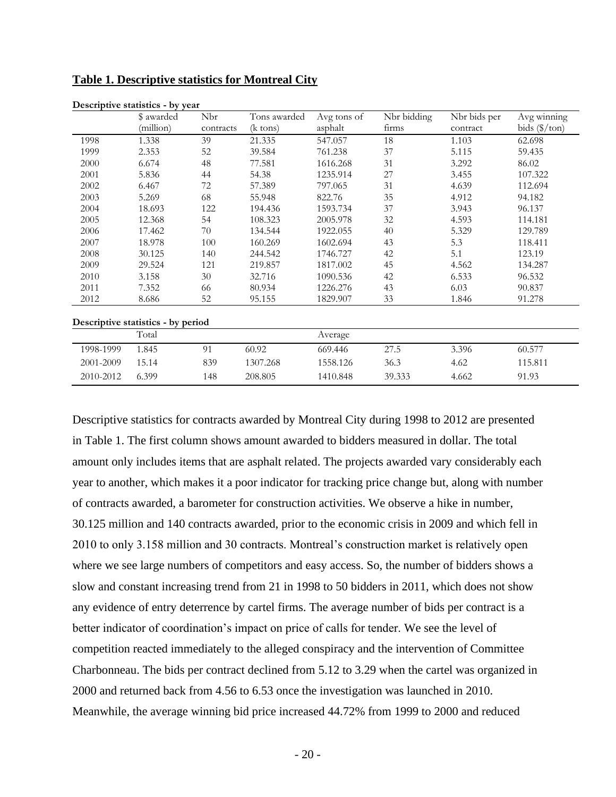|           | Descriptive statistics - by year   |           |                    |             |             |              |                         |
|-----------|------------------------------------|-----------|--------------------|-------------|-------------|--------------|-------------------------|
|           | \$ awarded                         | Nbr       | Tons awarded       | Avg tons of | Nbr bidding | Nbr bids per | Avg winning             |
|           | (million)                          | contracts | $(k \text{ tons})$ | asphalt     | firms       | contract     | bids $(\frac{5}{\tan})$ |
| 1998      | 1.338                              | 39        | 21.335             | 547.057     | 18          | 1.103        | 62.698                  |
| 1999      | 2.353                              | 52        | 39.584             | 761.238     | 37          | 5.115        | 59.435                  |
| 2000      | 6.674                              | 48        | 77.581             | 1616.268    | 31          | 3.292        | 86.02                   |
| 2001      | 5.836                              | 44        | 54.38              | 1235.914    | 27          | 3.455        | 107.322                 |
| 2002      | 6.467                              | 72        | 57.389             | 797.065     | 31          | 4.639        | 112.694                 |
| 2003      | 5.269                              | 68        | 55.948             | 822.76      | 35          | 4.912        | 94.182                  |
| 2004      | 18.693                             | 122       | 194.436            | 1593.734    | 37          | 3.943        | 96.137                  |
| 2005      | 12.368                             | 54        | 108.323            | 2005.978    | 32          | 4.593        | 114.181                 |
| 2006      | 17.462                             | 70        | 134.544            | 1922.055    | 40          | 5.329        | 129.789                 |
| 2007      | 18.978                             | 100       | 160.269            | 1602.694    | 43          | 5.3          | 118.411                 |
| 2008      | 30.125                             | 140       | 244.542            | 1746.727    | 42          | 5.1          | 123.19                  |
| 2009      | 29.524                             | 121       | 219.857            | 1817.002    | 45          | 4.562        | 134.287                 |
| 2010      | 3.158                              | 30        | 32.716             | 1090.536    | 42          | 6.533        | 96.532                  |
| 2011      | 7.352                              | 66        | 80.934             | 1226.276    | 43          | 6.03         | 90.837                  |
| 2012      | 8.686                              | 52        | 95.155             | 1829.907    | 33          | 1.846        | 91.278                  |
|           | Descriptive statistics - by period |           |                    |             |             |              |                         |
|           | Total                              |           |                    | Average     |             |              |                         |
| 1998-1999 | 1.845                              | 91        | 60.92              | 669.446     | 27.5        | 3.396        | 60.577                  |
| 2001-2009 | 15.14                              | 839       | 1307.268           | 1558.126    | 36.3        | 4.62         | 115.811                 |
| 2010-2012 | 6.399                              | 148       | 208.805            | 1410.848    | 39.333      | 4.662        | 91.93                   |

<span id="page-19-0"></span>**Table 1. Descriptive statistics for Montreal City**

Descriptive statistics for contracts awarded by Montreal City during 1998 to 2012 are presented in Table 1. The first column shows amount awarded to bidders measured in dollar. The total amount only includes items that are asphalt related. The projects awarded vary considerably each year to another, which makes it a poor indicator for tracking price change but, along with number of contracts awarded, a barometer for construction activities. We observe a hike in number, 30.125 million and 140 contracts awarded, prior to the economic crisis in 2009 and which fell in 2010 to only 3.158 million and 30 contracts. Montreal's construction market is relatively open where we see large numbers of competitors and easy access. So, the number of bidders shows a slow and constant increasing trend from 21 in 1998 to 50 bidders in 2011, which does not show any evidence of entry deterrence by cartel firms. The average number of bids per contract is a better indicator of coordination's impact on price of calls for tender. We see the level of competition reacted immediately to the alleged conspiracy and the intervention of Committee Charbonneau. The bids per contract declined from 5.12 to 3.29 when the cartel was organized in 2000 and returned back from 4.56 to 6.53 once the investigation was launched in 2010. Meanwhile, the average winning bid price increased 44.72% from 1999 to 2000 and reduced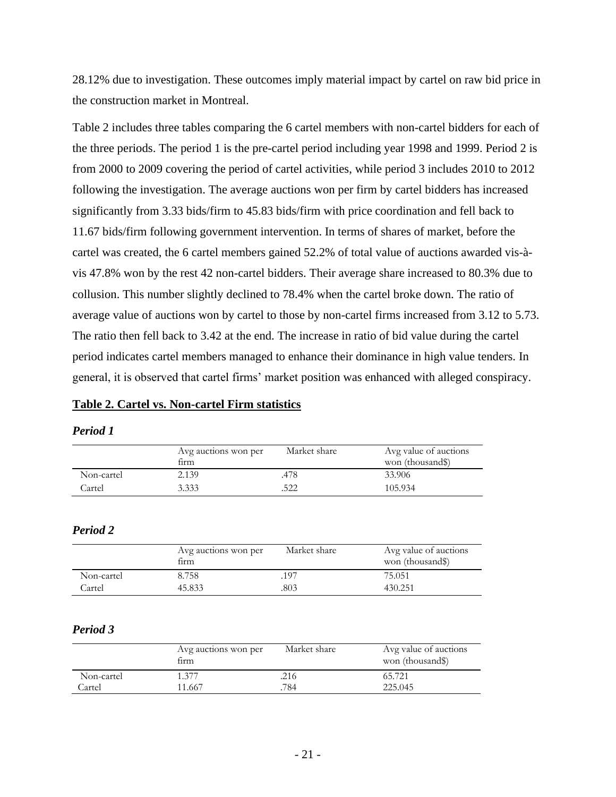28.12% due to investigation. These outcomes imply material impact by cartel on raw bid price in the construction market in Montreal.

Table 2 includes three tables comparing the 6 cartel members with non-cartel bidders for each of the three periods. The period 1 is the pre-cartel period including year 1998 and 1999. Period 2 is from 2000 to 2009 covering the period of cartel activities, while period 3 includes 2010 to 2012 following the investigation. The average auctions won per firm by cartel bidders has increased significantly from 3.33 bids/firm to 45.83 bids/firm with price coordination and fell back to 11.67 bids/firm following government intervention. In terms of shares of market, before the cartel was created, the 6 cartel members gained 52.2% of total value of auctions awarded vis-àvis 47.8% won by the rest 42 non-cartel bidders. Their average share increased to 80.3% due to collusion. This number slightly declined to 78.4% when the cartel broke down. The ratio of average value of auctions won by cartel to those by non-cartel firms increased from 3.12 to 5.73. The ratio then fell back to 3.42 at the end. The increase in ratio of bid value during the cartel period indicates cartel members managed to enhance their dominance in high value tenders. In general, it is observed that cartel firms' market position was enhanced with alleged conspiracy.

#### <span id="page-20-0"></span>**Table 2. Cartel vs. Non-cartel Firm statistics**

#### *Period 1*

|            | Avg auctions won per<br>firm | Market share | Avg value of auctions<br>won (thousand\$) |
|------------|------------------------------|--------------|-------------------------------------------|
| Non-cartel | 2.139                        | .478         | 33.906                                    |
| Cartel     | 3.333                        | .522         | 105.934                                   |

#### *Period 2*

|            | Avg auctions won per<br>firm | Market share | Avg value of auctions<br>won (thousand\$) |
|------------|------------------------------|--------------|-------------------------------------------|
| Non-cartel | 8.758                        | 197          | 75.051                                    |
| Cartel     | 45.833                       | 803          | 430.251                                   |

#### *Period 3*

|            | Avg auctions won per<br>firm | Market share | Avg value of auctions<br>won (thousand\$) |
|------------|------------------------------|--------------|-------------------------------------------|
| Non-cartel | 1.377                        | .216         | 65.721                                    |
| Cartel     | 11.667                       | 784          | 225.045                                   |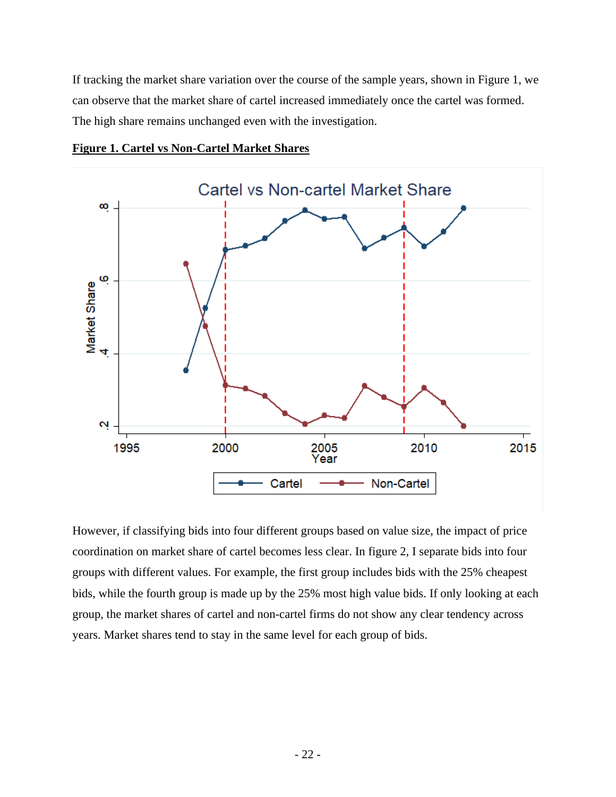If tracking the market share variation over the course of the sample years, shown in Figure 1, we can observe that the market share of cartel increased immediately once the cartel was formed. The high share remains unchanged even with the investigation.



<span id="page-21-0"></span>**Figure 1. Cartel vs Non-Cartel Market Shares**

However, if classifying bids into four different groups based on value size, the impact of price coordination on market share of cartel becomes less clear. In figure 2, I separate bids into four groups with different values. For example, the first group includes bids with the 25% cheapest bids, while the fourth group is made up by the 25% most high value bids. If only looking at each group, the market shares of cartel and non-cartel firms do not show any clear tendency across years. Market shares tend to stay in the same level for each group of bids.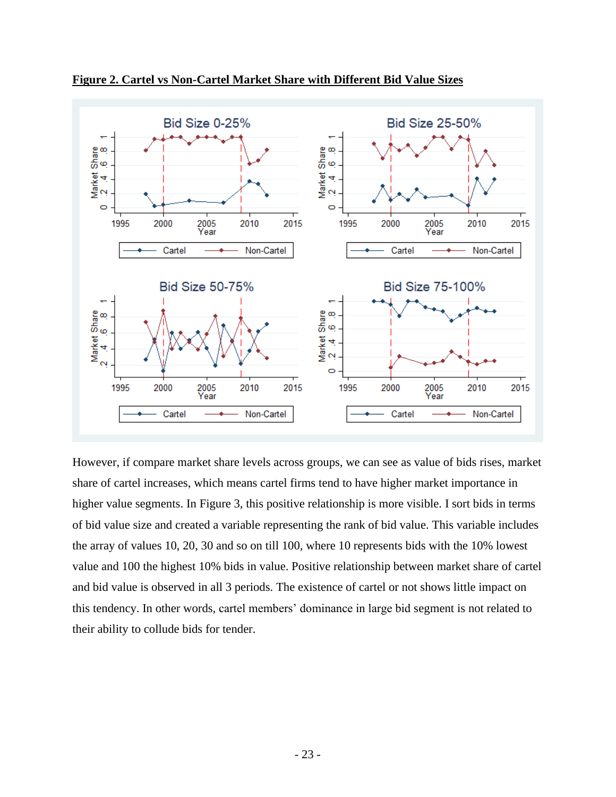

<span id="page-22-0"></span>**Figure 2. Cartel vs Non-Cartel Market Share with Different Bid Value Sizes**

However, if compare market share levels across groups, we can see as value of bids rises, market share of cartel increases, which means cartel firms tend to have higher market importance in higher value segments. In Figure 3, this positive relationship is more visible. I sort bids in terms of bid value size and created a variable representing the rank of bid value. This variable includes the array of values 10, 20, 30 and so on till 100, where 10 represents bids with the 10% lowest value and 100 the highest 10% bids in value. Positive relationship between market share of cartel and bid value is observed in all 3 periods. The existence of cartel or not shows little impact on this tendency. In other words, cartel members' dominance in large bid segment is not related to their ability to collude bids for tender.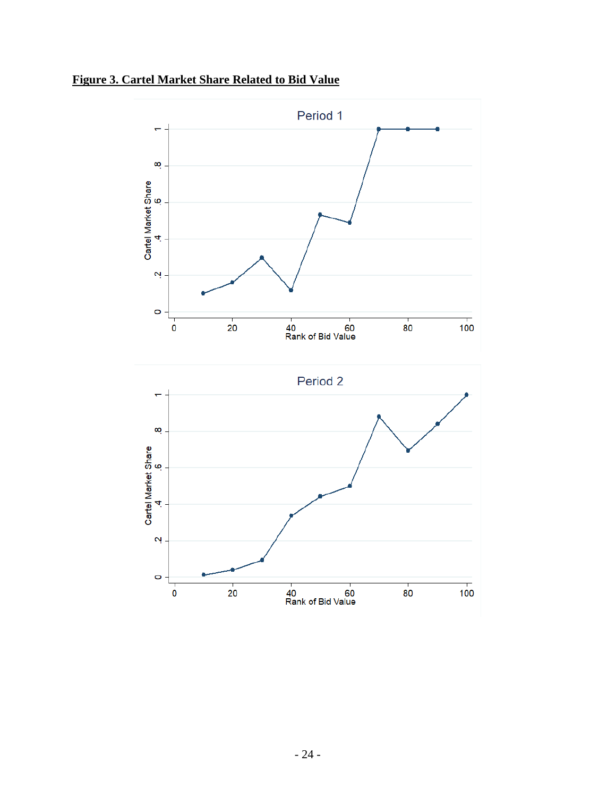<span id="page-23-0"></span>**Figure 3. Cartel Market Share Related to Bid Value**

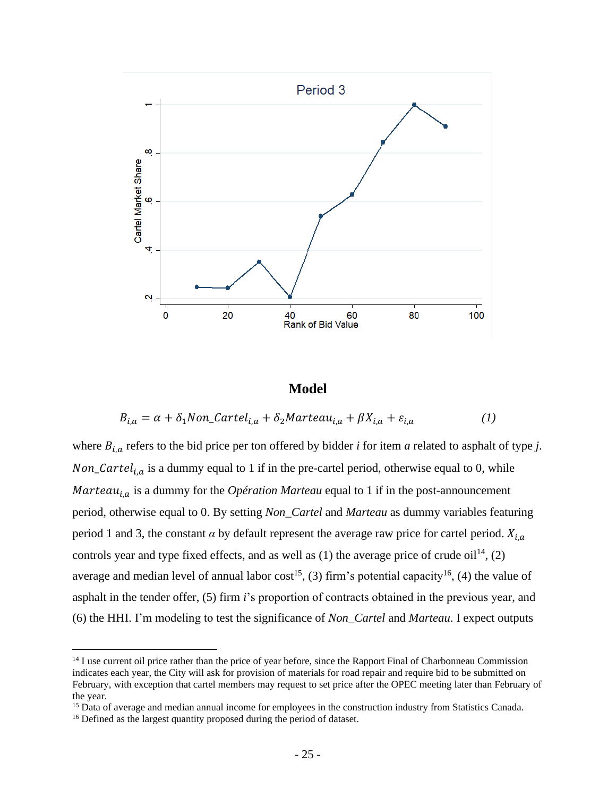

#### **Model**

<span id="page-24-0"></span>
$$
B_{i,a} = \alpha + \delta_1 \text{Non}\_ \text{Cartel}_{i,a} + \delta_2 \text{Marteau}_{i,a} + \beta X_{i,a} + \varepsilon_{i,a} \tag{1}
$$

where  $B_{i,a}$  refers to the bid price per ton offered by bidder *i* for item *a* related to asphalt of type *j*. Non\_Cartel<sub>i,a</sub> is a dummy equal to 1 if in the pre-cartel period, otherwise equal to 0, while *Marteau*<sub>i.a</sub> is a dummy for the *Opération Marteau* equal to 1 if in the post-announcement period, otherwise equal to 0. By setting *Non\_Cartel* and *Marteau* as dummy variables featuring period 1 and 3, the constant  $\alpha$  by default represent the average raw price for cartel period.  $X_{i,a}$ controls year and type fixed effects, and as well as  $(1)$  the average price of crude oil<sup>14</sup>,  $(2)$ average and median level of annual labor cost<sup>15</sup>, (3) firm's potential capacity<sup>16</sup>, (4) the value of asphalt in the tender offer, (5) firm *i*'s proportion of contracts obtained in the previous year, and (6) the HHI. I'm modeling to test the significance of *Non\_Cartel* and *Marteau*. I expect outputs

<sup>&</sup>lt;sup>14</sup> I use current oil price rather than the price of year before, since the Rapport Final of Charbonneau Commission indicates each year, the City will ask for provision of materials for road repair and require bid to be submitted on February, with exception that cartel members may request to set price after the OPEC meeting later than February of the year.

<sup>&</sup>lt;sup>15</sup> Data of average and median annual income for employees in the construction industry from Statistics Canada.

<sup>&</sup>lt;sup>16</sup> Defined as the largest quantity proposed during the period of dataset.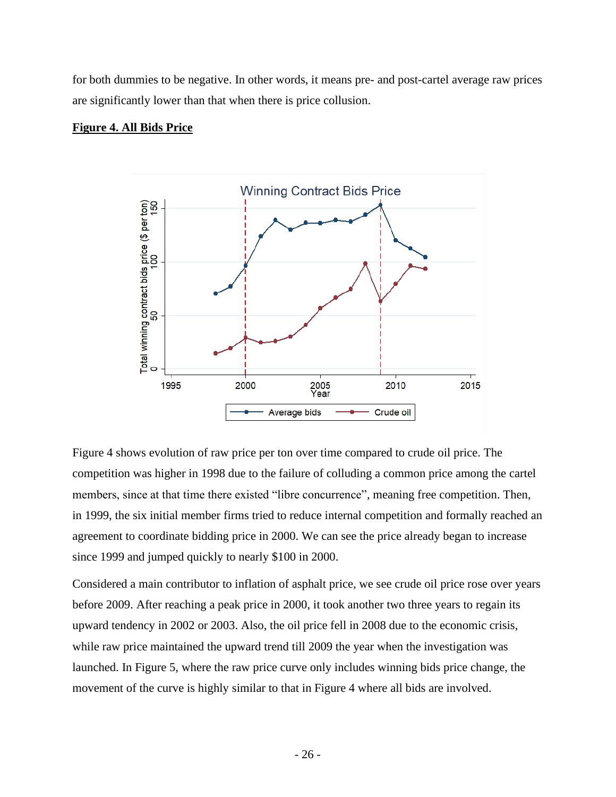for both dummies to be negative. In other words, it means pre- and post-cartel average raw prices are significantly lower than that when there is price collusion.

#### <span id="page-25-0"></span>**Figure 4. All Bids Price**



Figure 4 shows evolution of raw price per ton over time compared to crude oil price. The competition was higher in 1998 due to the failure of colluding a common price among the cartel members, since at that time there existed "libre concurrence", meaning free competition. Then, in 1999, the six initial member firms tried to reduce internal competition and formally reached an agreement to coordinate bidding price in 2000. We can see the price already began to increase since 1999 and jumped quickly to nearly \$100 in 2000.

Considered a main contributor to inflation of asphalt price, we see crude oil price rose over years before 2009. After reaching a peak price in 2000, it took another two three years to regain its upward tendency in 2002 or 2003. Also, the oil price fell in 2008 due to the economic crisis, while raw price maintained the upward trend till 2009 the year when the investigation was launched. In Figure 5, where the raw price curve only includes winning bids price change, the movement of the curve is highly similar to that in Figure 4 where all bids are involved.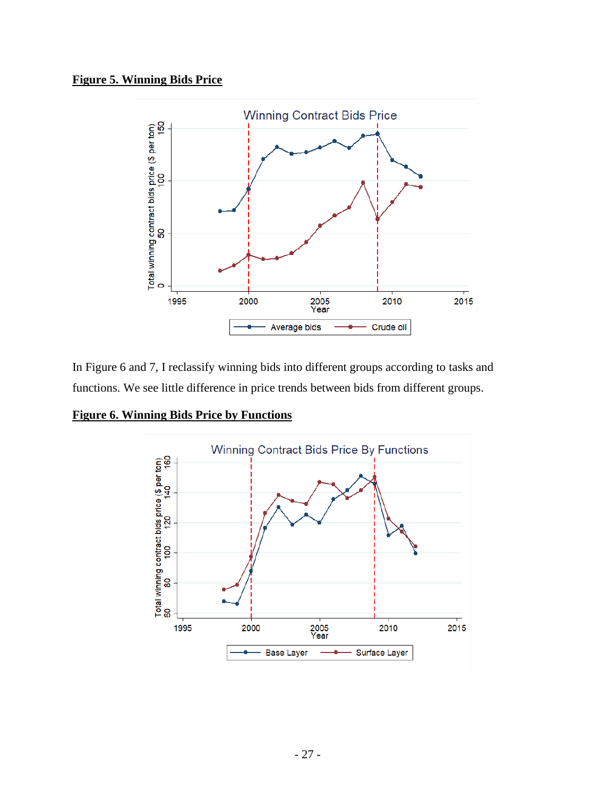### <span id="page-26-0"></span>**Figure 5. Winning Bids Price**



In Figure 6 and 7, I reclassify winning bids into different groups according to tasks and functions. We see little difference in price trends between bids from different groups.

<span id="page-26-1"></span>**Figure 6. Winning Bids Price by Functions**

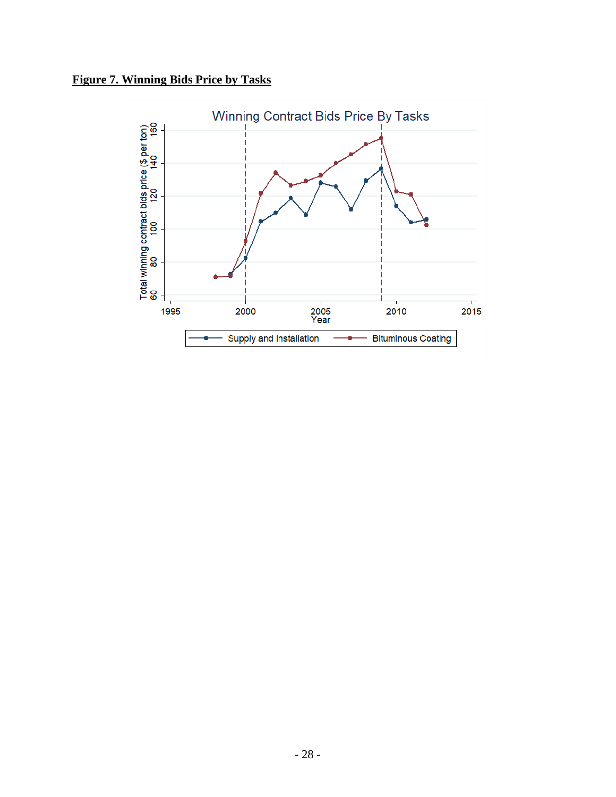<span id="page-27-0"></span>**Figure 7. Winning Bids Price by Tasks** 

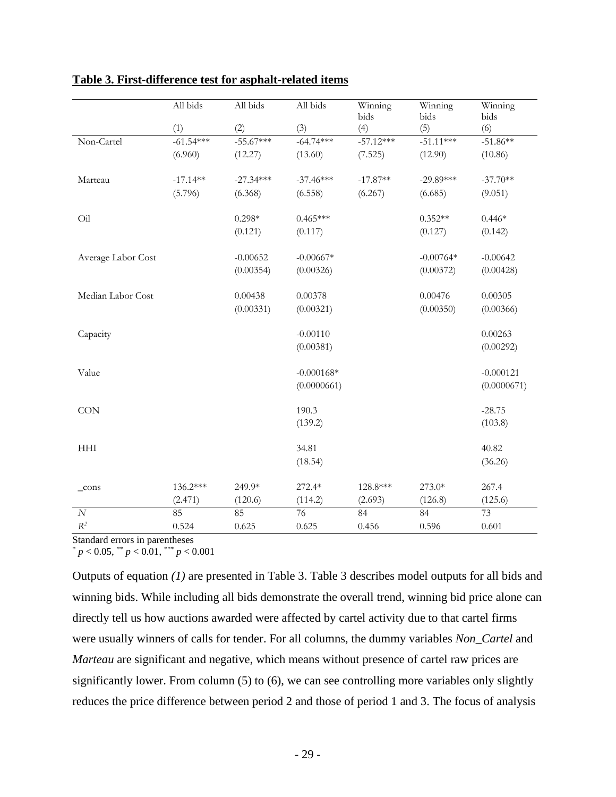|                    | All bids    | All bids    | All bids     | Winning<br>bids | Winning<br>bids | Winning<br>bids |
|--------------------|-------------|-------------|--------------|-----------------|-----------------|-----------------|
|                    | (1)         | (2)         | (3)          | (4)             | (5)             | (6)             |
| Non-Cartel         | $-61.54***$ | $-55.67***$ | $-64.74***$  | $-57.12***$     | $-51.11***$     | $-51.86**$      |
|                    | (6.960)     | (12.27)     | (13.60)      | (7.525)         | (12.90)         | (10.86)         |
| Marteau            | $-17.14**$  | $-27.34***$ | $-37.46***$  | $-17.87**$      | $-29.89***$     | $-37.70**$      |
|                    | (5.796)     | (6.368)     | (6.558)      | (6.267)         | (6.685)         | (9.051)         |
| Oil                |             | $0.298*$    | $0.465***$   |                 | $0.352**$       | $0.446*$        |
|                    |             | (0.121)     | (0.117)      |                 | (0.127)         | (0.142)         |
| Average Labor Cost |             | $-0.00652$  | $-0.00667*$  |                 | $-0.00764*$     | $-0.00642$      |
|                    |             | (0.00354)   | (0.00326)    |                 | (0.00372)       | (0.00428)       |
| Median Labor Cost  |             | 0.00438     | 0.00378      |                 | 0.00476         | 0.00305         |
|                    |             | (0.00331)   | (0.00321)    |                 | (0.00350)       | (0.00366)       |
| Capacity           |             |             | $-0.00110$   |                 |                 | 0.00263         |
|                    |             |             | (0.00381)    |                 |                 | (0.00292)       |
| Value              |             |             | $-0.000168*$ |                 |                 | $-0.000121$     |
|                    |             |             | (0.0000661)  |                 |                 | (0.0000671)     |
| CON                |             |             | 190.3        |                 |                 | $-28.75$        |
|                    |             |             | (139.2)      |                 |                 | (103.8)         |
| <b>HHI</b>         |             |             | 34.81        |                 |                 | 40.82           |
|                    |             |             | (18.54)      |                 |                 | (36.26)         |
| $_{\rm cons}$      | 136.2***    | 249.9*      | 272.4*       | 128.8***        | 273.0*          | 267.4           |
|                    | (2.471)     | (120.6)     | (114.2)      | (2.693)         | (126.8)         | (125.6)         |
| $\cal N$           | 85          | 85          | 76           | 84              | 84              | 73              |
| $\mathbb{R}^2$     | 0.524       | 0.625       | 0.625        | 0.456           | 0.596           | 0.601           |

#### <span id="page-28-0"></span>**Table 3. First-difference test for asphalt-related items**

Standard errors in parentheses

 $p < 0.05$ ,  $\binom{**}{p} < 0.01$ ,  $\binom{***}{p} < 0.001$ 

Outputs of equation *(1)* are presented in Table 3. Table 3 describes model outputs for all bids and winning bids. While including all bids demonstrate the overall trend, winning bid price alone can directly tell us how auctions awarded were affected by cartel activity due to that cartel firms were usually winners of calls for tender. For all columns, the dummy variables *Non\_Cartel* and *Marteau* are significant and negative, which means without presence of cartel raw prices are significantly lower. From column (5) to (6), we can see controlling more variables only slightly reduces the price difference between period 2 and those of period 1 and 3. The focus of analysis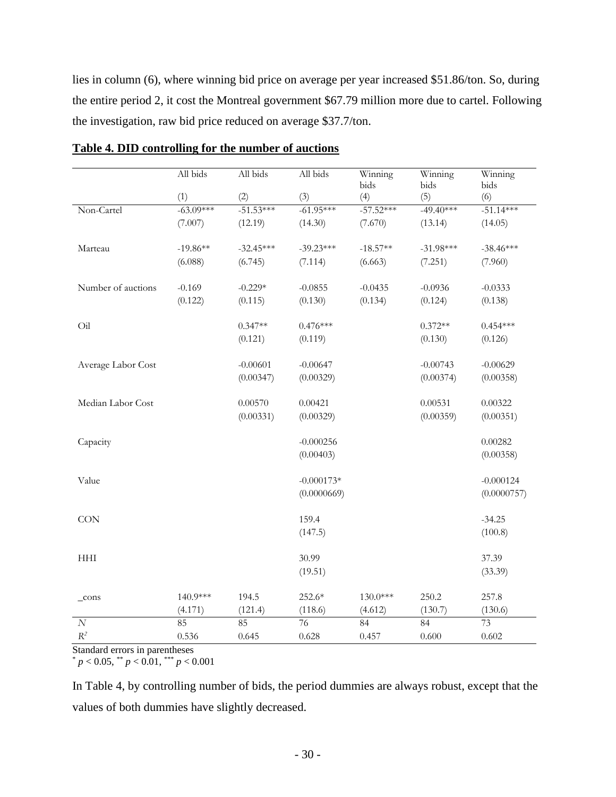lies in column (6), where winning bid price on average per year increased \$51.86/ton. So, during the entire period 2, it cost the Montreal government \$67.79 million more due to cartel. Following the investigation, raw bid price reduced on average \$37.7/ton.

|                             | All bids    | All bids    | All bids     | Winning<br>bids | Winning<br>bids | Winning<br>bids |
|-----------------------------|-------------|-------------|--------------|-----------------|-----------------|-----------------|
|                             | (1)         | (2)         | (3)          | (4)             | (5)             | (6)             |
| Non-Cartel                  | $-63.09***$ | $-51.53***$ | $-61.95***$  | $-57.52***$     | $-49.40***$     | $-51.14***$     |
|                             | (7.007)     | (12.19)     | (14.30)      | (7.670)         | (13.14)         | (14.05)         |
| Marteau                     | $-19.86**$  | $-32.45***$ | $-39.23***$  | $-18.57**$      | $-31.98***$     | $-38.46***$     |
|                             | (6.088)     | (6.745)     | (7.114)      | (6.663)         | (7.251)         | (7.960)         |
| Number of auctions          | $-0.169$    | $-0.229*$   | $-0.0855$    | $-0.0435$       | $-0.0936$       | $-0.0333$       |
|                             | (0.122)     | (0.115)     | (0.130)      | (0.134)         | (0.124)         | (0.138)         |
| Oil                         |             | $0.347**$   | $0.476***$   |                 | $0.372**$       | $0.454***$      |
|                             |             | (0.121)     | (0.119)      |                 | (0.130)         | (0.126)         |
| Average Labor Cost          |             | $-0.00601$  | $-0.00647$   |                 | $-0.00743$      | $-0.00629$      |
|                             |             | (0.00347)   | (0.00329)    |                 | (0.00374)       | (0.00358)       |
| Median Labor Cost           |             | 0.00570     | 0.00421      |                 | 0.00531         | 0.00322         |
|                             |             | (0.00331)   | (0.00329)    |                 | (0.00359)       | (0.00351)       |
| Capacity                    |             |             | $-0.000256$  |                 |                 | 0.00282         |
|                             |             |             | (0.00403)    |                 |                 | (0.00358)       |
| Value                       |             |             | $-0.000173*$ |                 |                 | $-0.000124$     |
|                             |             |             | (0.0000669)  |                 |                 | (0.0000757)     |
| <b>CON</b>                  |             |             | 159.4        |                 |                 | $-34.25$        |
|                             |             |             | (147.5)      |                 |                 | (100.8)         |
| $\mathop{\rm HHI}\nolimits$ |             |             | 30.99        |                 |                 | 37.39           |
|                             |             |             | (19.51)      |                 |                 | (33.39)         |
| $_{\rm cons}$               | 140.9***    | 194.5       | 252.6*       | 130.0***        | 250.2           | 257.8           |
|                             | (4.171)     | (121.4)     | (118.6)      | (4.612)         | (130.7)         | (130.6)         |
| $\cal N$                    | 85          | 85          | 76           | 84              | 84              | 73              |
| $\mathbb{R}^2$              | 0.536       | 0.645       | 0.628        | 0.457           | 0.600           | 0.602           |

#### <span id="page-29-0"></span>**Table 4. DID controlling for the number of auctions**

Standard errors in parentheses

 $p < 0.05$ ,  $\binom{p}{p} < 0.01$ ,  $\binom{p}{p} < 0.001$ 

In Table 4, by controlling number of bids, the period dummies are always robust, except that the values of both dummies have slightly decreased.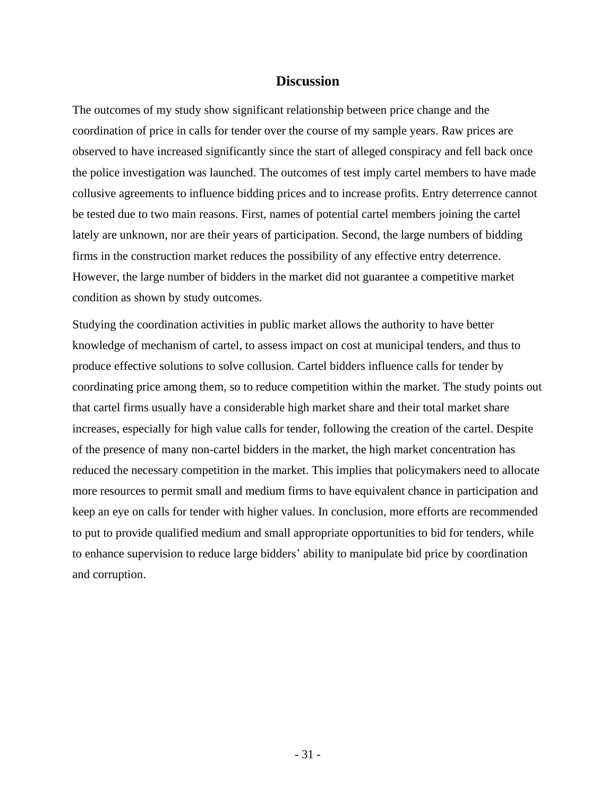#### **Discussion**

<span id="page-30-0"></span>The outcomes of my study show significant relationship between price change and the coordination of price in calls for tender over the course of my sample years. Raw prices are observed to have increased significantly since the start of alleged conspiracy and fell back once the police investigation was launched. The outcomes of test imply cartel members to have made collusive agreements to influence bidding prices and to increase profits. Entry deterrence cannot be tested due to two main reasons. First, names of potential cartel members joining the cartel lately are unknown, nor are their years of participation. Second, the large numbers of bidding firms in the construction market reduces the possibility of any effective entry deterrence. However, the large number of bidders in the market did not guarantee a competitive market condition as shown by study outcomes.

Studying the coordination activities in public market allows the authority to have better knowledge of mechanism of cartel, to assess impact on cost at municipal tenders, and thus to produce effective solutions to solve collusion. Cartel bidders influence calls for tender by coordinating price among them, so to reduce competition within the market. The study points out that cartel firms usually have a considerable high market share and their total market share increases, especially for high value calls for tender, following the creation of the cartel. Despite of the presence of many non-cartel bidders in the market, the high market concentration has reduced the necessary competition in the market. This implies that policymakers need to allocate more resources to permit small and medium firms to have equivalent chance in participation and keep an eye on calls for tender with higher values. In conclusion, more efforts are recommended to put to provide qualified medium and small appropriate opportunities to bid for tenders, while to enhance supervision to reduce large bidders' ability to manipulate bid price by coordination and corruption.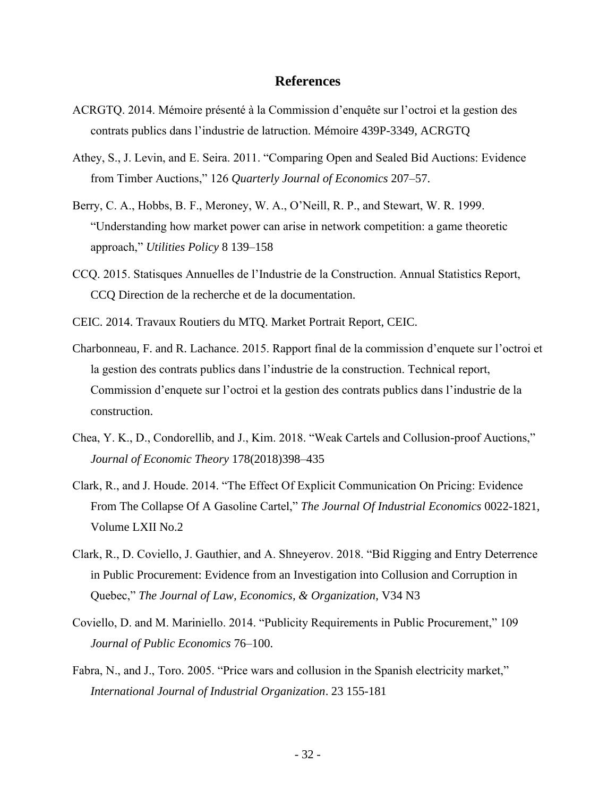#### **References**

- <span id="page-31-0"></span>ACRGTQ. 2014. Mémoire présenté à la Commission d'enquête sur l'octroi et la gestion des contrats publics dans l'industrie de latruction. Mémoire 439P-3349, ACRGTQ
- Athey, S., J. Levin, and E. Seira. 2011. "Comparing Open and Sealed Bid Auctions: Evidence from Timber Auctions," 126 *Quarterly Journal of Economics* 207–57.
- Berry, C. A., Hobbs, B. F., Meroney, W. A., O'Neill, R. P., and Stewart, W. R. 1999. "Understanding how market power can arise in network competition: a game theoretic approach," *Utilities Policy* 8 139–158
- CCQ. 2015. Statisques Annuelles de l'Industrie de la Construction. Annual Statistics Report, CCQ Direction de la recherche et de la documentation.
- CEIC. 2014. Travaux Routiers du MTQ. Market Portrait Report, CEIC.
- Charbonneau, F. and R. Lachance. 2015. Rapport final de la commission d'enquete sur l'octroi et la gestion des contrats publics dans l'industrie de la construction. Technical report, Commission d'enquete sur l'octroi et la gestion des contrats publics dans l'industrie de la construction.
- Chea, Y. K., D., Condorellib, and J., Kim. 2018. "Weak Cartels and Collusion-proof Auctions," *Journal of Economic Theory* 178(2018)398–435
- Clark, R., and J. Houde. 2014. "The Effect Of Explicit Communication On Pricing: Evidence From The Collapse Of A Gasoline Cartel," *The Journal Of Industrial Economics* 0022-1821, Volume LXII No.2
- Clark, R., D. Coviello, J. Gauthier, and A. Shneyerov. 2018. "Bid Rigging and Entry Deterrence in Public Procurement: Evidence from an Investigation into Collusion and Corruption in Quebec," *The Journal of Law, Economics, & Organization*, V34 N3
- Coviello, D. and M. Mariniello. 2014. "Publicity Requirements in Public Procurement," 109 *Journal of Public Economics* 76–100.
- Fabra, N., and J., Toro. 2005. "Price wars and collusion in the Spanish electricity market," *International Journal of Industrial Organization*. 23 155-181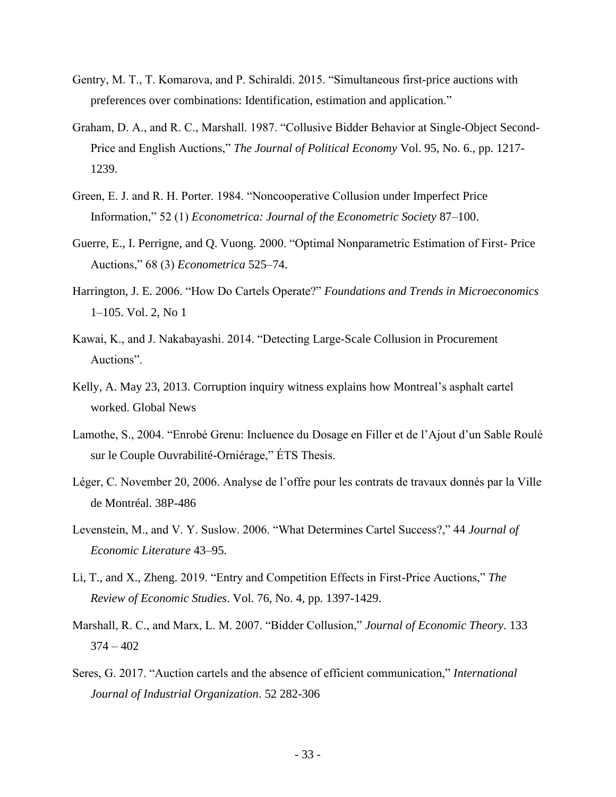- Gentry, M. T., T. Komarova, and P. Schiraldi. 2015. "Simultaneous first-price auctions with preferences over combinations: Identification, estimation and application."
- Graham, D. A., and R. C., Marshall. 1987. "Collusive Bidder Behavior at Single-Object Second-Price and English Auctions," *The Journal of Political Economy* Vol. 95, No. 6., pp. 1217- 1239.
- Green, E. J. and R. H. Porter. 1984. "Noncooperative Collusion under Imperfect Price Information," 52 (1) *Econometrica: Journal of the Econometric Society* 87–100.
- Guerre, E., I. Perrigne, and Q. Vuong. 2000. "Optimal Nonparametric Estimation of First- Price Auctions," 68 (3) *Econometrica* 525–74.
- Harrington, J. E. 2006. "How Do Cartels Operate?" *Foundations and Trends in Microeconomics* 1–105. Vol. 2, No 1
- Kawai, K., and J. Nakabayashi. 2014. "Detecting Large-Scale Collusion in Procurement Auctions".
- Kelly, A. May 23, 2013. Corruption inquiry witness explains how Montreal's asphalt cartel worked. Global News
- Lamothe, S., 2004. "Enrobé Grenu: Incluence du Dosage en Filler et de l'Ajout d'un Sable Roulé sur le Couple Ouvrabilité-Orniérage," ÉTS Thesis.
- Léger, C. November 20, 2006. Analyse de l'offre pour les contrats de travaux donnés par la Ville de Montréal. 38P-486
- Levenstein, M., and V. Y. Suslow. 2006. "What Determines Cartel Success?," 44 *Journal of Economic Literature* 43–95.
- Li, T., and X., Zheng. 2019. "Entry and Competition Effects in First-Price Auctions," *The Review of Economic Studies*. Vol. 76, No. 4, pp. 1397-1429.
- Marshall, R. C., and Marx, L. M. 2007. "Bidder Collusion," *Journal of Economic Theory*. 133  $374 - 402$
- Seres, G. 2017. "Auction cartels and the absence of efficient communication," *International Journal of Industrial Organization*. 52 282-306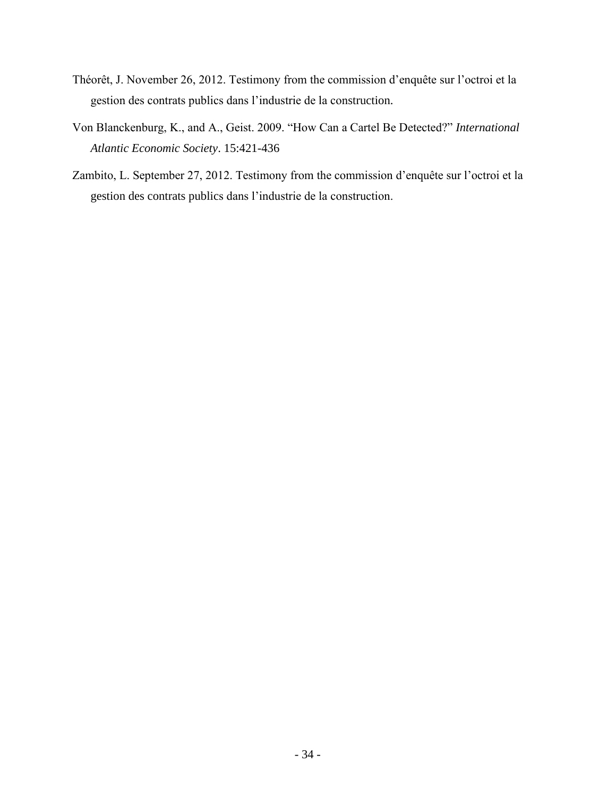- Théorêt, J. November 26, 2012. Testimony from the commission d'enquête sur l'octroi et la gestion des contrats publics dans l'industrie de la construction.
- Von Blanckenburg, K., and A., Geist. 2009. "How Can a Cartel Be Detected?" *International Atlantic Economic Society*. 15:421-436
- Zambito, L. September 27, 2012. Testimony from the commission d'enquête sur l'octroi et la gestion des contrats publics dans l'industrie de la construction.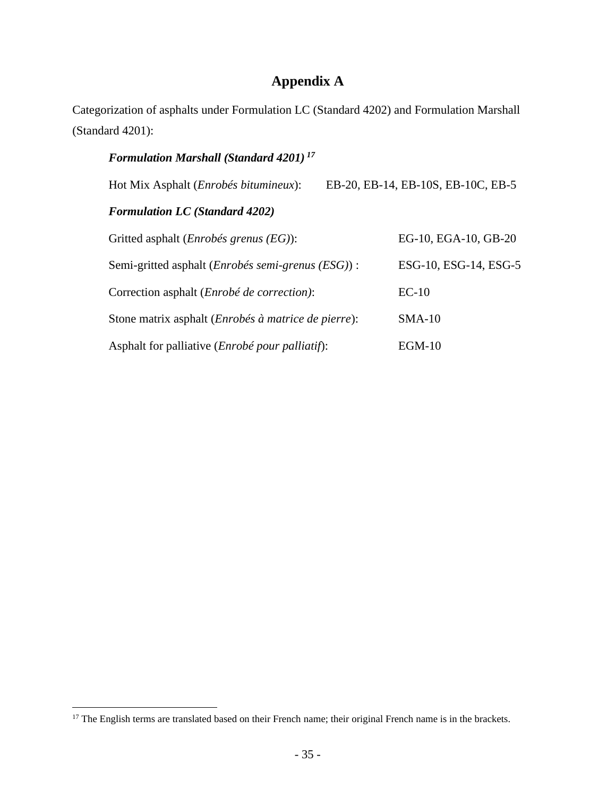# **Appendix A**

<span id="page-34-0"></span>Categorization of asphalts under Formulation LC (Standard 4202) and Formulation Marshall (Standard 4201):

# *Formulation Marshall (Standard 4201) <sup>17</sup>*

| Hot Mix Asphalt (Enrobés bitumineux):                               | EB-20, EB-14, EB-10S, EB-10C, EB-5 |
|---------------------------------------------------------------------|------------------------------------|
| <b>Formulation LC</b> (Standard 4202)                               |                                    |
| Gritted asphalt <i>(Enrobés grenus (EG)</i> ):                      | EG-10, EGA-10, GB-20               |
| Semi-gritted asphalt ( <i>Enrobés semi-grenus</i> ( <i>ESG</i> )) : | ESG-10, ESG-14, ESG-5              |
| Correction asphalt ( <i>Enrobé de correction</i> ):                 | $EC-10$                            |
| Stone matrix asphalt ( <i>Enrobés à matrice de pierre</i> ):        | $SMA-10$                           |
| Asphalt for palliative ( <i>Enrobé pour palliatif</i> ):            | $EGM-10$                           |

<sup>&</sup>lt;sup>17</sup> The English terms are translated based on their French name; their original French name is in the brackets.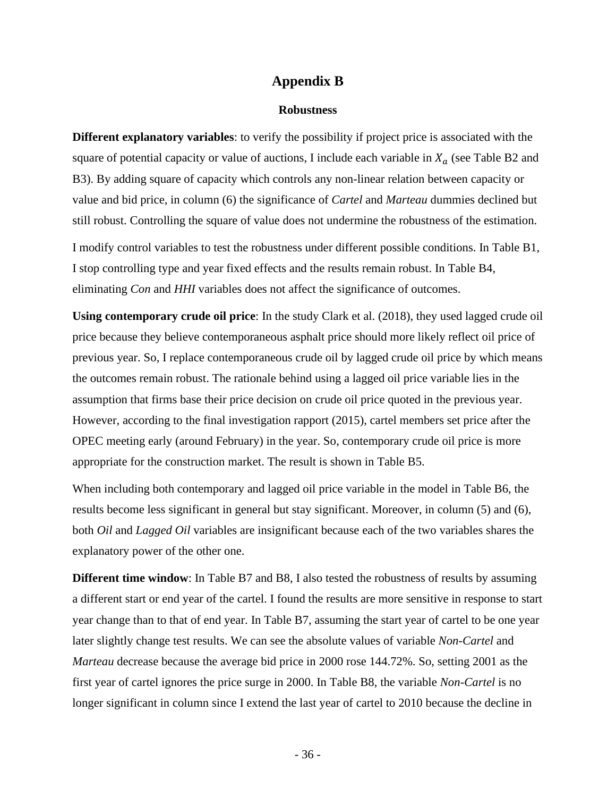#### **Appendix B**

#### **Robustness**

<span id="page-35-1"></span><span id="page-35-0"></span>**Different explanatory variables**: to verify the possibility if project price is associated with the square of potential capacity or value of auctions, I include each variable in  $X_a$  (see Table B2 and B3). By adding square of capacity which controls any non-linear relation between capacity or value and bid price, in column (6) the significance of *Cartel* and *Marteau* dummies declined but still robust. Controlling the square of value does not undermine the robustness of the estimation. I modify control variables to test the robustness under different possible conditions. In Table B1, I stop controlling type and year fixed effects and the results remain robust. In Table B4, eliminating *Con* and *HHI* variables does not affect the significance of outcomes.

**Using contemporary crude oil price**: In the study Clark et al. (2018), they used lagged crude oil price because they believe contemporaneous asphalt price should more likely reflect oil price of previous year. So, I replace contemporaneous crude oil by lagged crude oil price by which means the outcomes remain robust. The rationale behind using a lagged oil price variable lies in the assumption that firms base their price decision on crude oil price quoted in the previous year. However, according to the final investigation rapport (2015), cartel members set price after the OPEC meeting early (around February) in the year. So, contemporary crude oil price is more appropriate for the construction market. The result is shown in Table B5.

When including both contemporary and lagged oil price variable in the model in Table B6, the results become less significant in general but stay significant. Moreover, in column (5) and (6), both *Oil* and *Lagged Oil* variables are insignificant because each of the two variables shares the explanatory power of the other one.

**Different time window**: In Table B7 and B8, I also tested the robustness of results by assuming a different start or end year of the cartel. I found the results are more sensitive in response to start year change than to that of end year. In Table B7, assuming the start year of cartel to be one year later slightly change test results. We can see the absolute values of variable *Non-Cartel* and *Marteau* decrease because the average bid price in 2000 rose 144.72%. So, setting 2001 as the first year of cartel ignores the price surge in 2000. In Table B8, the variable *Non-Cartel* is no longer significant in column since I extend the last year of cartel to 2010 because the decline in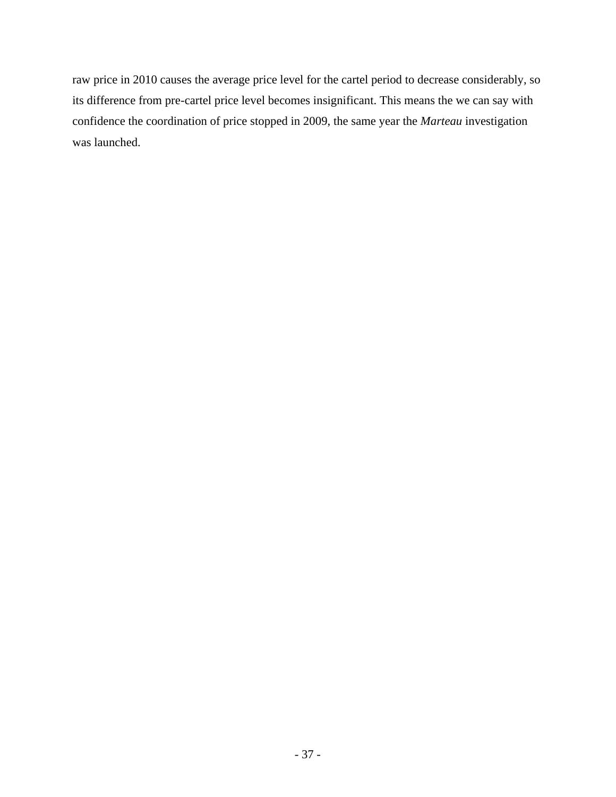raw price in 2010 causes the average price level for the cartel period to decrease considerably, so its difference from pre-cartel price level becomes insignificant. This means the we can say with confidence the coordination of price stopped in 2009, the same year the *Marteau* investigation was launched.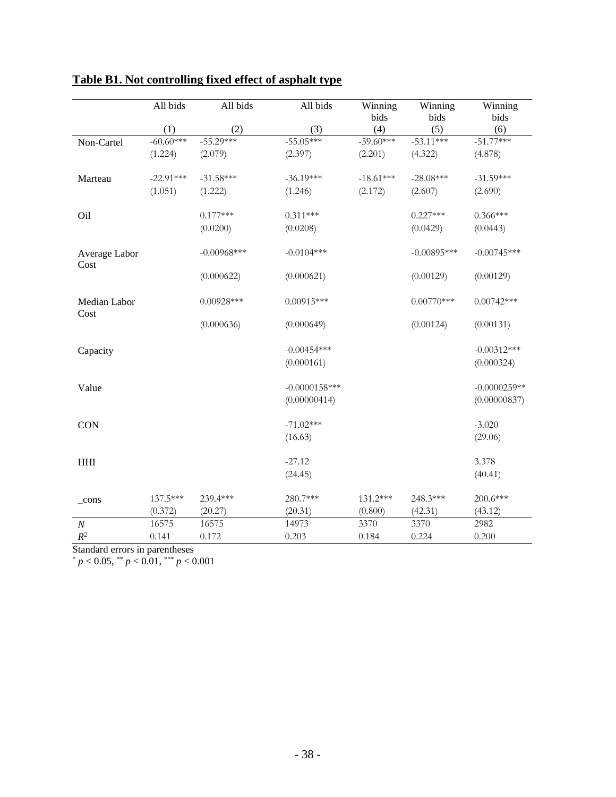|                       | All bids    | All bids       | All bids         | Winning<br>bids | Winning<br>bids | Winning<br>bids |
|-----------------------|-------------|----------------|------------------|-----------------|-----------------|-----------------|
|                       | (1)         | (2)            | (3)              | (4)             | (5)             | (6)             |
| Non-Cartel            | $-60.60***$ | $-55.29***$    | $-55.05***$      | $-59.60***$     | $-53.11***$     | $-51.77***$     |
|                       | (1.224)     | (2.079)        | (2.397)          | (2.201)         | (4.322)         | (4.878)         |
| Marteau               | $-22.91***$ | $-31.58***$    | $-36.19***$      | $-18.61***$     | $-28.08***$     | $-31.59***$     |
|                       | (1.051)     | (1.222)        | (1.246)          | (2.172)         | (2.607)         | (2.690)         |
| Oil                   |             | $0.177***$     | $0.311***$       |                 | $0.227***$      | $0.366***$      |
|                       |             | (0.0200)       | (0.0208)         |                 | (0.0429)        | (0.0443)        |
| Average Labor<br>Cost |             | $-0.00968$ *** | $-0.0104***$     |                 | $-0.00895***$   | $-0.00745***$   |
|                       |             | (0.000622)     | (0.000621)       |                 | (0.00129)       | (0.00129)       |
| Median Labor<br>Cost  |             | $0.00928***$   | $0.00915***$     |                 | $0.00770***$    | $0.00742***$    |
|                       |             | (0.000636)     | (0.000649)       |                 | (0.00124)       | (0.00131)       |
| Capacity              |             |                | $-0.00454***$    |                 |                 | $-0.00312***$   |
|                       |             |                | (0.000161)       |                 |                 | (0.000324)      |
| Value                 |             |                | $-0.0000158$ *** |                 |                 | $-0.0000259**$  |
|                       |             |                | (0.00000414)     |                 |                 | (0.00000837)    |
| <b>CON</b>            |             |                | $-71.02***$      |                 |                 | $-3.020$        |
|                       |             |                | (16.63)          |                 |                 | (29.06)         |
| <b>HHI</b>            |             |                | $-27.12$         |                 |                 | 3.378           |
|                       |             |                | (24.45)          |                 |                 | (40.41)         |
| $_{\rm cons}$         | 137.5***    | 239.4***       | 280.7***         | 131.2***        | 248.3***        | 200.6***        |
|                       | (0.372)     | (20.27)        | (20.31)          | (0.800)         | (42.31)         | (43.12)         |
| $\boldsymbol{N}$      | 16575       | 16575          | 14973            | 3370            | 3370            | 2982            |
| $R^2$                 | 0.141       | 0.172          | 0.203            | 0.184           | 0.224           | 0.200           |

# <span id="page-37-0"></span>**Table B1. Not controlling fixed effect of asphalt type**

Standard errors in parentheses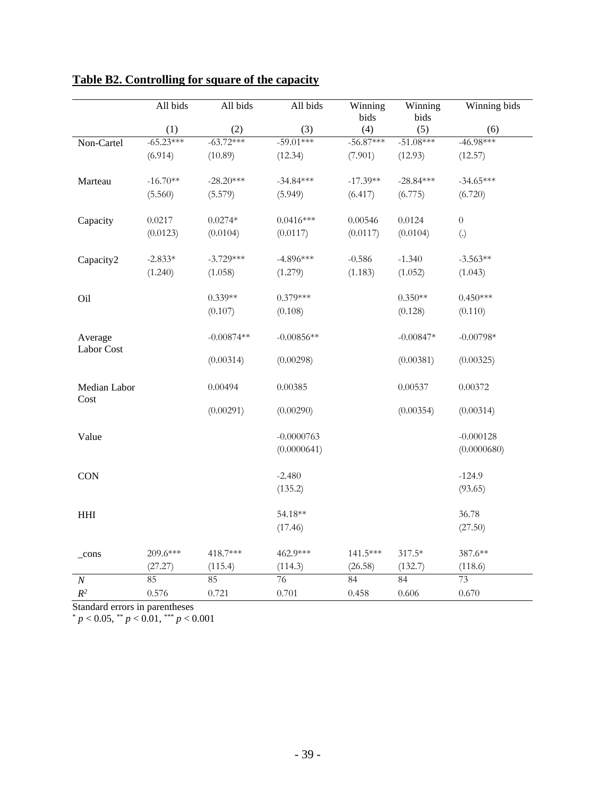|                       | All bids    | All bids     | All bids     | Winning<br>bids | Winning<br>bids | Winning bids      |
|-----------------------|-------------|--------------|--------------|-----------------|-----------------|-------------------|
|                       | (1)         | (2)          | (3)          | (4)             | (5)             | (6)               |
| Non-Cartel            | $-65.23***$ | $-63.72***$  | $-59.01***$  | $-56.87***$     | $-51.08***$     | $-46.98***$       |
|                       | (6.914)     | (10.89)      | (12.34)      | (7.901)         | (12.93)         | (12.57)           |
| Marteau               | $-16.70**$  | $-28.20***$  | $-34.84***$  | $-17.39**$      | $-28.84***$     | $-34.65***$       |
|                       | (5.560)     | (5.579)      | (5.949)      | (6.417)         | (6.775)         | (6.720)           |
| Capacity              | 0.0217      | $0.0274*$    | $0.0416***$  | 0.00546         | 0.0124          | $\boldsymbol{0}$  |
|                       | (0.0123)    | (0.0104)     | (0.0117)     | (0.0117)        | (0.0104)        | $\left( .\right)$ |
| Capacity2             | $-2.833*$   | $-3.729***$  | $-4.896***$  | $-0.586$        | $-1.340$        | $-3.563**$        |
|                       | (1.240)     | (1.058)      | (1.279)      | (1.183)         | (1.052)         | (1.043)           |
| Oil                   |             | $0.339**$    | $0.379***$   |                 | $0.350**$       | $0.450***$        |
|                       |             | (0.107)      | (0.108)      |                 | (0.128)         | (0.110)           |
| Average<br>Labor Cost |             | $-0.00874**$ | $-0.00856**$ |                 | $-0.00847*$     | $-0.00798*$       |
|                       |             | (0.00314)    | (0.00298)    |                 | (0.00381)       | (0.00325)         |
| Median Labor<br>Cost  |             | 0.00494      | 0.00385      |                 | 0.00537         | 0.00372           |
|                       |             | (0.00291)    | (0.00290)    |                 | (0.00354)       | (0.00314)         |
| Value                 |             |              | $-0.0000763$ |                 |                 | $-0.000128$       |
|                       |             |              | (0.0000641)  |                 |                 | (0.0000680)       |
| <b>CON</b>            |             |              | $-2.480$     |                 |                 | $-124.9$          |
|                       |             |              | (135.2)      |                 |                 | (93.65)           |
| <b>HHI</b>            |             |              | 54.18**      |                 |                 | 36.78             |
|                       |             |              | (17.46)      |                 |                 | (27.50)           |
| $_{\rm cons}$         | 209.6***    | 418.7***     | 462.9***     | 141.5***        | $317.5*$        | 387.6**           |
|                       | (27.27)     | (115.4)      | (114.3)      | (26.58)         | (132.7)         | (118.6)           |
| $\boldsymbol{N}$      | 85          | 85           | 76           | 84              | 84              | 73                |
| $\mathbb{R}^2$        | 0.576       | 0.721        | 0.701        | 0.458           | 0.606           | 0.670             |

## <span id="page-38-0"></span>**Table B2. Controlling for square of the capacity**

Standard errors in parentheses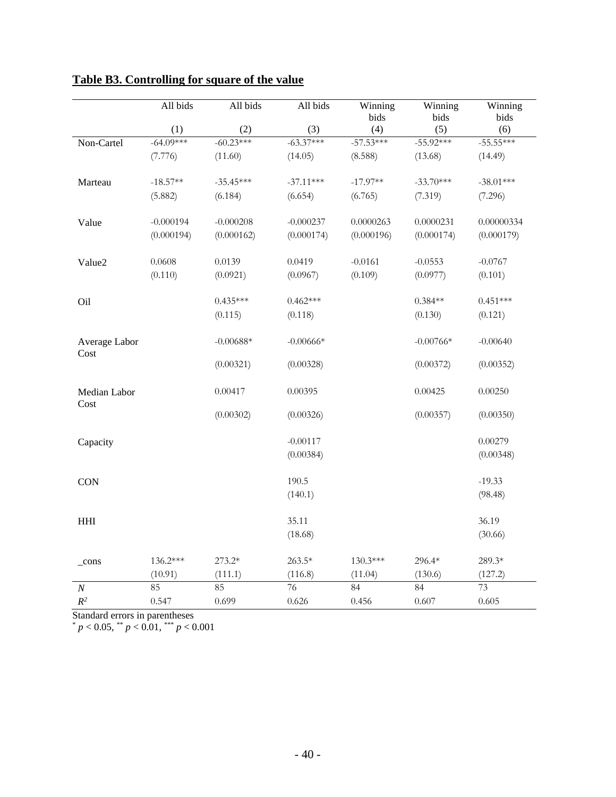|                             | All bids    | All bids    | All bids    | Winning<br>bids | Winning<br>bids | Winning<br>bids |
|-----------------------------|-------------|-------------|-------------|-----------------|-----------------|-----------------|
|                             | (1)         | (2)         | (3)         | (4)             | (5)             | (6)             |
| Non-Cartel                  | $-64.09***$ | $-60.23***$ | $-63.37***$ | $-57.53***$     | $-55.92***$     | $-55.55***$     |
|                             | (7.776)     | (11.60)     | (14.05)     | (8.588)         | (13.68)         | (14.49)         |
| Marteau                     | $-18.57**$  | $-35.45***$ | $-37.11***$ | $-17.97**$      | $-33.70***$     | $-38.01***$     |
|                             | (5.882)     | (6.184)     | (6.654)     | (6.765)         | (7.319)         | (7.296)         |
| Value                       | $-0.000194$ | $-0.000208$ | $-0.000237$ | 0.0000263       | 0.0000231       | 0.00000334      |
|                             | (0.000194)  | (0.000162)  | (0.000174)  | (0.000196)      | (0.000174)      | (0.000179)      |
| Value2                      | 0.0608      | 0.0139      | 0.0419      | $-0.0161$       | $-0.0553$       | $-0.0767$       |
|                             | (0.110)     | (0.0921)    | (0.0967)    | (0.109)         | (0.0977)        | (0.101)         |
| Oil                         |             | $0.435***$  | $0.462***$  |                 | $0.384**$       | $0.451***$      |
|                             |             | (0.115)     | (0.118)     |                 | (0.130)         | (0.121)         |
| Average Labor<br>Cost       |             | $-0.00688*$ | $-0.00666*$ |                 | $-0.00766*$     | $-0.00640$      |
|                             |             | (0.00321)   | (0.00328)   |                 | (0.00372)       | (0.00352)       |
| Median Labor<br>Cost        |             | 0.00417     | 0.00395     |                 | 0.00425         | 0.00250         |
|                             |             | (0.00302)   | (0.00326)   |                 | (0.00357)       | (0.00350)       |
| Capacity                    |             |             | $-0.00117$  |                 |                 | 0.00279         |
|                             |             |             | (0.00384)   |                 |                 | (0.00348)       |
| <b>CON</b>                  |             |             | 190.5       |                 |                 | $-19.33$        |
|                             |             |             | (140.1)     |                 |                 | (98.48)         |
| $\mathop{\rm HHI}\nolimits$ |             |             | 35.11       |                 |                 | 36.19           |
|                             |             |             | (18.68)     |                 |                 | (30.66)         |
| $_{\rm cons}$               | 136.2***    | 273.2*      | $263.5*$    | 130.3***        | 296.4*          | 289.3*          |
|                             | (10.91)     | (111.1)     | (116.8)     | (11.04)         | (130.6)         | (127.2)         |
| $\cal N$                    | 85          | 85          | 76          | 84              | 84              | 73              |
| $R^2$                       | 0.547       | 0.699       | 0.626       | 0.456           | 0.607           | 0.605           |

# <span id="page-39-0"></span>**Table B3. Controlling for square of the value**

Standard errors in parentheses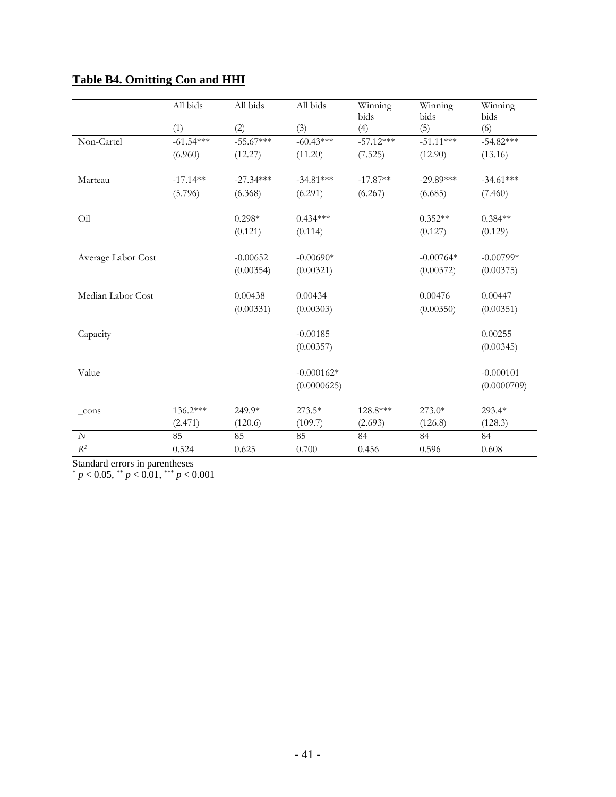|                    | All bids    | All bids    | All bids     | Winning     | Winning     | Winning     |
|--------------------|-------------|-------------|--------------|-------------|-------------|-------------|
|                    |             |             |              | bids        | bids        | bids        |
|                    | (1)         | (2)         | (3)          | (4)         | (5)         | (6)         |
| Non-Cartel         | $-61.54***$ | $-55.67***$ | $-60.43***$  | $-57.12***$ | $-51.11***$ | $-54.82***$ |
|                    | (6.960)     | (12.27)     | (11.20)      | (7.525)     | (12.90)     | (13.16)     |
| Marteau            | $-17.14**$  | $-27.34***$ | $-34.81***$  | $-17.87**$  | $-29.89***$ | $-34.61***$ |
|                    | (5.796)     | (6.368)     | (6.291)      | (6.267)     | (6.685)     | (7.460)     |
| Oil                |             | $0.298*$    | $0.434***$   |             | $0.352**$   | $0.384**$   |
|                    |             | (0.121)     | (0.114)      |             | (0.127)     | (0.129)     |
| Average Labor Cost |             | $-0.00652$  | $-0.00690*$  |             | $-0.00764*$ | $-0.00799*$ |
|                    |             | (0.00354)   | (0.00321)    |             | (0.00372)   | (0.00375)   |
| Median Labor Cost  |             | 0.00438     | 0.00434      |             | 0.00476     | 0.00447     |
|                    |             | (0.00331)   | (0.00303)    |             | (0.00350)   | (0.00351)   |
|                    |             |             |              |             |             |             |
| Capacity           |             |             | $-0.00185$   |             |             | 0.00255     |
|                    |             |             | (0.00357)    |             |             | (0.00345)   |
| Value              |             |             | $-0.000162*$ |             |             | $-0.000101$ |
|                    |             |             | (0.0000625)  |             |             | (0.0000709) |
| $_{cons}$          | $136.2***$  | 249.9*      | $273.5*$     | 128.8***    | $273.0*$    | $293.4*$    |
|                    | (2.471)     | (120.6)     | (109.7)      | (2.693)     | (126.8)     | (128.3)     |
| N                  | 85          | 85          | 85           | 84          | 84          | 84          |
| $R^2$              | 0.524       | 0.625       | 0.700        | 0.456       | 0.596       | 0.608       |

## <span id="page-40-0"></span>**Table B4. Omitting Con and HHI**

Standard errors in parentheses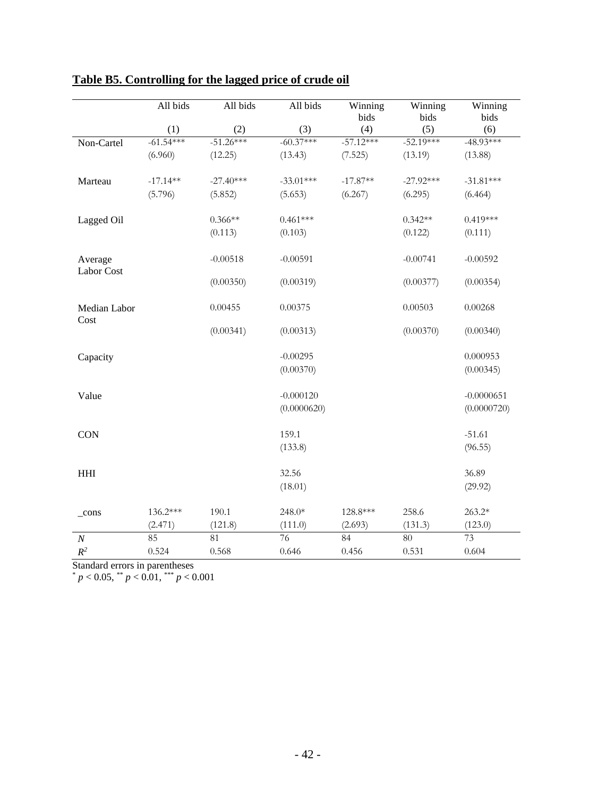|                       | All bids    | All bids    | All bids    | Winning<br>bids | Winning<br>bids | Winning<br>bids |
|-----------------------|-------------|-------------|-------------|-----------------|-----------------|-----------------|
|                       | (1)         | (2)         | (3)         | (4)             | (5)             | (6)             |
| Non-Cartel            | $-61.54***$ | $-51.26***$ | $-60.37***$ | $-57.12***$     | $-52.19***$     | $-48.93***$     |
|                       | (6.960)     | (12.25)     | (13.43)     | (7.525)         | (13.19)         | (13.88)         |
| Marteau               | $-17.14**$  | $-27.40***$ | $-33.01***$ | $-17.87**$      | $-27.92***$     | $-31.81***$     |
|                       | (5.796)     | (5.852)     | (5.653)     | (6.267)         | (6.295)         | (6.464)         |
| Lagged Oil            |             | $0.366**$   | $0.461***$  |                 | $0.342**$       | $0.419***$      |
|                       |             | (0.113)     | (0.103)     |                 | (0.122)         | (0.111)         |
| Average<br>Labor Cost |             | $-0.00518$  | $-0.00591$  |                 | $-0.00741$      | $-0.00592$      |
|                       |             | (0.00350)   | (0.00319)   |                 | (0.00377)       | (0.00354)       |
| Median Labor<br>Cost  |             | 0.00455     | 0.00375     |                 | 0.00503         | 0.00268         |
|                       |             | (0.00341)   | (0.00313)   |                 | (0.00370)       | (0.00340)       |
| Capacity              |             |             | $-0.00295$  |                 |                 | 0.000953        |
|                       |             |             | (0.00370)   |                 |                 | (0.00345)       |
| Value                 |             |             | $-0.000120$ |                 |                 | $-0.0000651$    |
|                       |             |             | (0.0000620) |                 |                 | (0.0000720)     |
| <b>CON</b>            |             |             | 159.1       |                 |                 | $-51.61$        |
|                       |             |             | (133.8)     |                 |                 | (96.55)         |
| <b>HHI</b>            |             |             | 32.56       |                 |                 | 36.89           |
|                       |             |             | (18.01)     |                 |                 | (29.92)         |
| $_{\rm cons}$         | 136.2***    | 190.1       | 248.0*      | 128.8***        | 258.6           | 263.2*          |
|                       | (2.471)     | (121.8)     | (111.0)     | (2.693)         | (131.3)         | (123.0)         |
| $\boldsymbol{N}$      | 85          | 81          | 76          | 84              | $\overline{80}$ | 73              |
| $R^2$                 | 0.524       | 0.568       | 0.646       | 0.456           | 0.531           | 0.604           |

# <span id="page-41-0"></span>**Table B5. Controlling for the lagged price of crude oil**

Standard errors in parentheses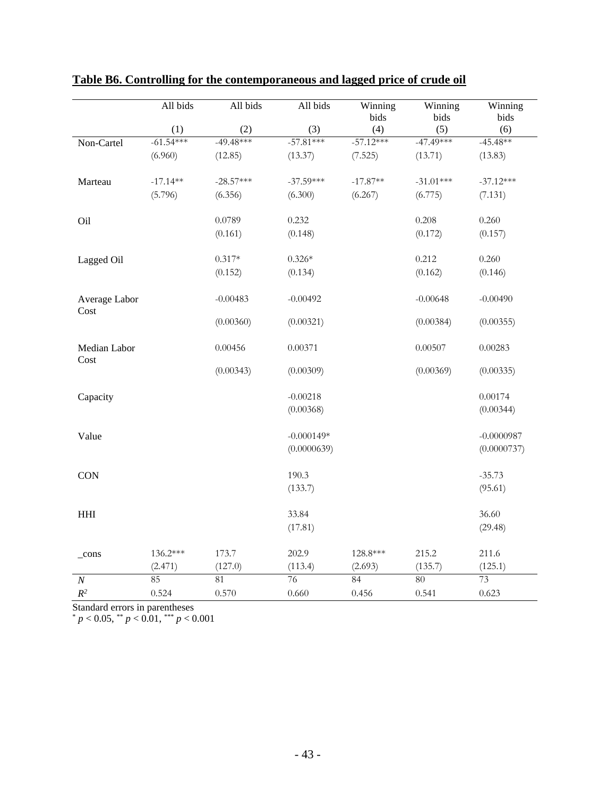|                       | All bids    | All bids    | All bids     | Winning<br>bids | Winning<br>bids | Winning<br>bids |
|-----------------------|-------------|-------------|--------------|-----------------|-----------------|-----------------|
|                       | (1)         | (2)         | (3)          | (4)             | (5)             | (6)             |
| Non-Cartel            | $-61.54***$ | $-49.48***$ | $-57.81***$  | $-57.12***$     | $-47.49***$     | $-45.48**$      |
|                       | (6.960)     | (12.85)     | (13.37)      | (7.525)         | (13.71)         | (13.83)         |
| Marteau               | $-17.14**$  | $-28.57***$ | $-37.59***$  | $-17.87**$      | $-31.01***$     | $-37.12***$     |
|                       | (5.796)     | (6.356)     | (6.300)      | (6.267)         | (6.775)         | (7.131)         |
| Oil                   |             | 0.0789      | 0.232        |                 | 0.208           | 0.260           |
|                       |             | (0.161)     | (0.148)      |                 | (0.172)         | (0.157)         |
| Lagged Oil            |             | $0.317*$    | $0.326*$     |                 | 0.212           | 0.260           |
|                       |             | (0.152)     | (0.134)      |                 | (0.162)         | (0.146)         |
| Average Labor<br>Cost |             | $-0.00483$  | $-0.00492$   |                 | $-0.00648$      | $-0.00490$      |
|                       |             | (0.00360)   | (0.00321)    |                 | (0.00384)       | (0.00355)       |
| Median Labor<br>Cost  |             | 0.00456     | 0.00371      |                 | 0.00507         | 0.00283         |
|                       |             | (0.00343)   | (0.00309)    |                 | (0.00369)       | (0.00335)       |
| Capacity              |             |             | $-0.00218$   |                 |                 | 0.00174         |
|                       |             |             | (0.00368)    |                 |                 | (0.00344)       |
| Value                 |             |             | $-0.000149*$ |                 |                 | $-0.0000987$    |
|                       |             |             | (0.0000639)  |                 |                 | (0.0000737)     |
| <b>CON</b>            |             |             | 190.3        |                 |                 | $-35.73$        |
|                       |             |             | (133.7)      |                 |                 | (95.61)         |
| <b>HHI</b>            |             |             | 33.84        |                 |                 | 36.60           |
|                       |             |             | (17.81)      |                 |                 | (29.48)         |
| $_{\rm cons}$         | 136.2***    | 173.7       | 202.9        | 128.8***        | 215.2           | 211.6           |
|                       | (2.471)     | (127.0)     | (113.4)      | (2.693)         | (135.7)         | (125.1)         |
| $\cal N$              | 85          | 81          | 76           | 84              | 80              | 73              |
| $R^2$                 | 0.524       | 0.570       | 0.660        | 0.456           | 0.541           | 0.623           |

### <span id="page-42-0"></span>**Table B6. Controlling for the contemporaneous and lagged price of crude oil**

Standard errors in parentheses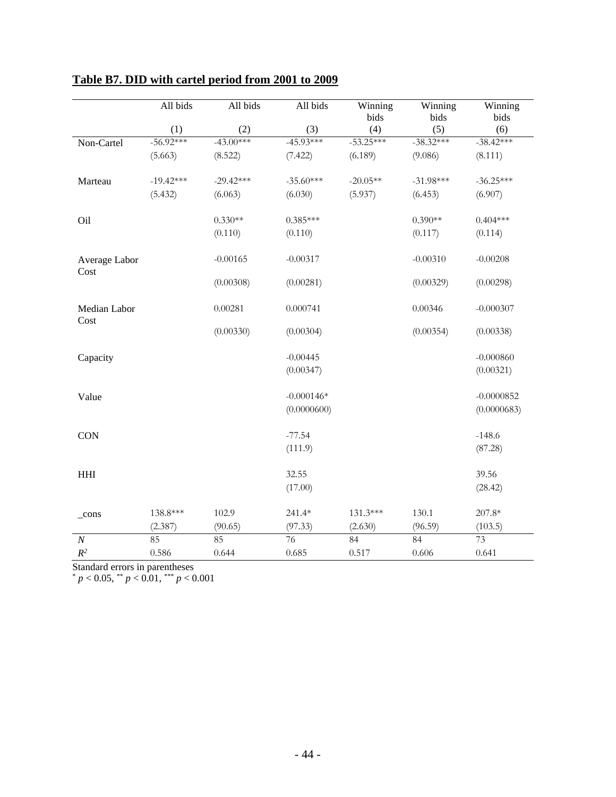|                      | All bids    | All bids    | All bids        | Winning<br>bids | Winning<br>bids | Winning<br>bids |
|----------------------|-------------|-------------|-----------------|-----------------|-----------------|-----------------|
|                      | (1)         | (2)         | (3)             | (4)             | (5)             | (6)             |
| Non-Cartel           | $-56.92***$ | $-43.00***$ | $-45.93***$     | $-53.25***$     | $-38.32***$     | $-38.42***$     |
|                      | (5.663)     | (8.522)     | (7.422)         | (6.189)         | (9.086)         | (8.111)         |
| Marteau              | $-19.42***$ | $-29.42***$ | $-35.60***$     | $-20.05**$      | $-31.98***$     | $-36.25***$     |
|                      | (5.432)     | (6.063)     | (6.030)         | (5.937)         | (6.453)         | (6.907)         |
| Oil                  |             | $0.330**$   | $0.385***$      |                 | $0.390**$       | $0.404***$      |
|                      |             | (0.110)     | (0.110)         |                 | (0.117)         | (0.114)         |
| Average Labor        |             | $-0.00165$  | $-0.00317$      |                 | $-0.00310$      | $-0.00208$      |
| Cost                 |             | (0.00308)   | (0.00281)       |                 | (0.00329)       | (0.00298)       |
| Median Labor<br>Cost |             | 0.00281     | 0.000741        |                 | 0.00346         | $-0.000307$     |
|                      |             | (0.00330)   | (0.00304)       |                 | (0.00354)       | (0.00338)       |
| Capacity             |             |             | $-0.00445$      |                 |                 | $-0.000860$     |
|                      |             |             | (0.00347)       |                 |                 | (0.00321)       |
| Value                |             |             | $-0.000146*$    |                 |                 | $-0.0000852$    |
|                      |             |             | (0.0000600)     |                 |                 | (0.0000683)     |
| <b>CON</b>           |             |             | $-77.54$        |                 |                 | $-148.6$        |
|                      |             |             | (111.9)         |                 |                 | (87.28)         |
| <b>HHI</b>           |             |             | 32.55           |                 |                 | 39.56           |
|                      |             |             | (17.00)         |                 |                 | (28.42)         |
| $_{\rm cons}$        | 138.8***    | 102.9       | $241.4*$        | 131.3***        | 130.1           | 207.8*          |
|                      | (2.387)     | (90.65)     | (97.33)         | (2.630)         | (96.59)         | (103.5)         |
| $\cal N$             | 85          | 85          | $\overline{76}$ | 84              | 84              | $\overline{73}$ |
| $R^2$                | 0.586       | 0.644       | 0.685           | 0.517           | 0.606           | 0.641           |

# <span id="page-43-0"></span>**Table B7. DID with cartel period from 2001 to 2009**

Standard errors in parentheses